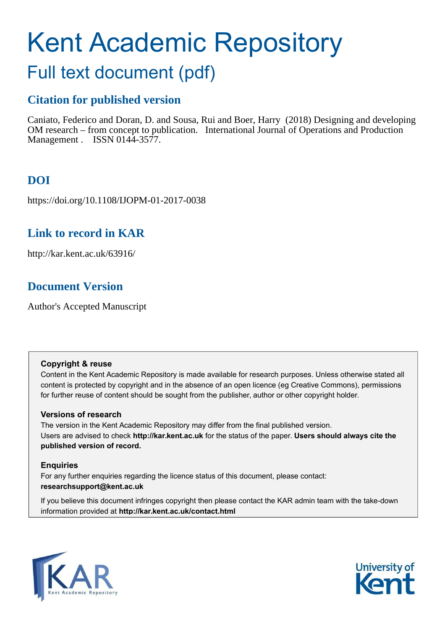# Kent Academic Repository

# Full text document (pdf)

# **Citation for published version**

Caniato, Federico and Doran, D. and Sousa, Rui and Boer, Harry (2018) Designing and developing OM research – from concept to publication. International Journal of Operations and Production Management . ISSN 0144-3577.

# **DOI**

https://doi.org/10.1108/IJOPM-01-2017-0038

# **Link to record in KAR**

http://kar.kent.ac.uk/63916/

# **Document Version**

Author's Accepted Manuscript

# **Copyright & reuse**

Content in the Kent Academic Repository is made available for research purposes. Unless otherwise stated all content is protected by copyright and in the absence of an open licence (eg Creative Commons), permissions for further reuse of content should be sought from the publisher, author or other copyright holder.

# **Versions of research**

The version in the Kent Academic Repository may differ from the final published version. Users are advised to check **http://kar.kent.ac.uk** for the status of the paper. **Users should always cite the published version of record.**

# **Enquiries**

For any further enquiries regarding the licence status of this document, please contact: **researchsupport@kent.ac.uk**

If you believe this document infringes copyright then please contact the KAR admin team with the take-down information provided at **http://kar.kent.ac.uk/contact.html**



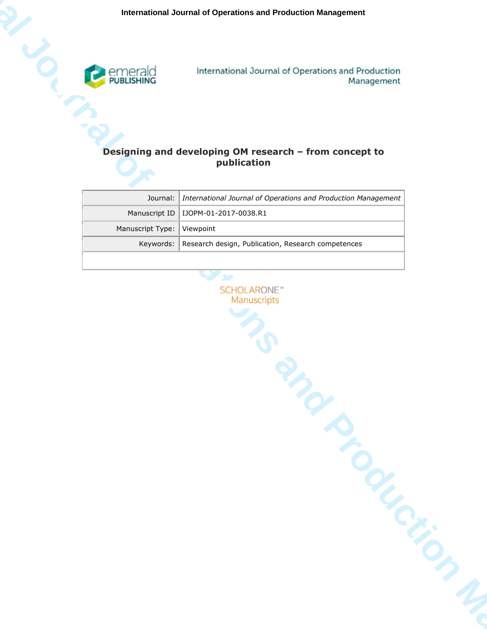

# signing and developing OM research – from concept to

|                  | International Journal of Operations and Production            |
|------------------|---------------------------------------------------------------|
|                  | Management                                                    |
|                  |                                                               |
|                  |                                                               |
|                  |                                                               |
|                  | Designing and developing OM research - from concept to        |
|                  | publication                                                   |
|                  |                                                               |
| Journal:         | International Journal of Operations and Production Management |
| Manuscript ID    | IJOPM-01-2017-0038.R1                                         |
| Manuscript Type: | Viewpoint                                                     |
| Keywords:        | Research design, Publication, Research competences            |
|                  |                                                               |
|                  |                                                               |
|                  | <b>SCHOLARONE</b> <sup>*</sup>                                |
|                  | Manuscripts                                                   |
|                  |                                                               |
|                  |                                                               |
|                  |                                                               |
|                  |                                                               |
|                  |                                                               |
|                  |                                                               |
|                  |                                                               |
|                  |                                                               |
|                  |                                                               |
|                  |                                                               |
|                  |                                                               |
|                  |                                                               |
|                  |                                                               |
|                  |                                                               |
|                  |                                                               |
|                  |                                                               |
|                  |                                                               |
|                  | <b>POULER</b>                                                 |
|                  |                                                               |
|                  |                                                               |
|                  |                                                               |
|                  |                                                               |

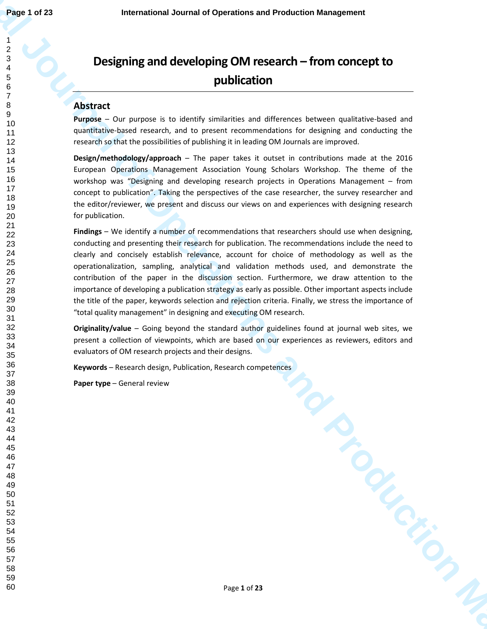# **Designing and developing OM research – from concept to publication**

# **Abstract**

**Purpose** – Our purpose is to identify similarities and differences between qualitative-based and quantitative-based research, and to present recommendations for designing and conducting the research so that the possibilities of publishing it in leading OM Journals are improved.

**Design/methodology/approach** – The paper takes it outset in contributions made at the 2016 European Operations Management Association Young Scholars Workshop. The theme of the workshop was "Designing and developing research projects in Operations Management – from concept to publication". Taking the perspectives of the case researcher, the survey researcher and the editor/reviewer, we present and discuss our views on and experiences with designing research for publication.

**Page 1 of 23**<br> **International Journal of Operations and Production Management**<br> **Designing and developing OM research - from concept to**<br> **Designing and developing OM research - from concept to**<br> **Page 1 of 23**<br> **Abstrac Findings** – We identify a number of recommendations that researchers should use when designing, conducting and presenting their research for publication. The recommendations include the need to clearly and concisely establish relevance, account for choice of methodology as well as the operationalization, sampling, analytical and validation methods used, and demonstrate the contribution of the paper in the discussion section. Furthermore, we draw attention to the importance of developing a publication strategy as early as possible. Other important aspects include the title of the paper, keywords selection and rejection criteria. Finally, we stress the importance of "total quality management" in designing and executing OM research.

**Originality/value** – Going beyond the standard author guidelines found at journal web sites, we present a collection of viewpoints, which are based on our experiences as reviewers, editors and<br>reviutators of OM research projects and their designs.<br>**Keywords – Research design, Publication, Research competences** evaluators of OM research projects and their designs.

**Keywords** – Research design, Publication, Research competences

**Paper type** – General review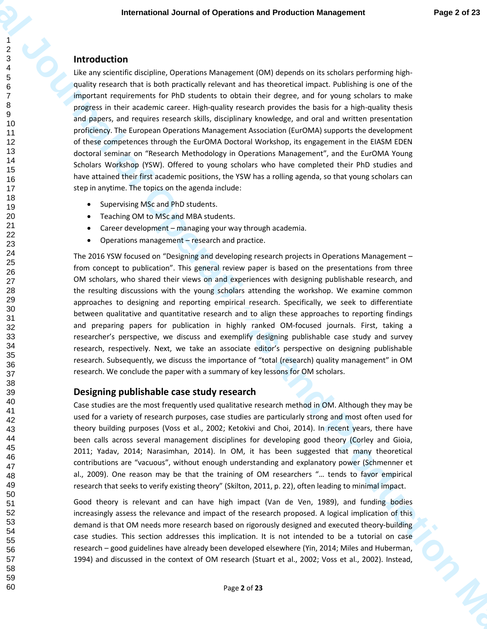# **Introduction**

Like any scientific discipline, Operations Management (OM) depends on its scholars performing highquality research that is both practically relevant and has theoretical impact. Publishing is one of the important requirements for PhD students to obtain their degree, and for young scholars to make progress in their academic career. High-quality research provides the basis for a high-quality thesis and papers, and requires research skills, disciplinary knowledge, and oral and written presentation proficiency. The European Operations Management Association (EurOMA) supports the development of these competences through the EurOMA Doctoral Workshop, its engagement in the EIASM EDEN doctoral seminar on "Research Methodology in Operations Management", and the EurOMA Young Scholars Workshop (YSW). Offered to young scholars who have completed their PhD studies and have attained their first academic positions, the YSW has a rolling agenda, so that young scholars can step in anytime. The topics on the agenda include:

- Supervising MSc and PhD students.
- Teaching OM to MSc and MBA students.
- Career development managing your way through academia.
- Operations management research and practice.

**International Journal of Operations and Production Management Poper 2 of 2 and<br>
International of Operational System Contents and the content of Contents and Theorem 2 and<br>**  $\frac{1}{2}$ **<br>
<b>International System Contents and the** The 2016 YSW focused on "Designing and developing research projects in Operations Management – from concept to publication". This general review paper is based on the presentations from three OM scholars, who shared their views on and experiences with designing publishable research, and the resulting discussions with the young scholars attending the workshop. We examine common approaches to designing and reporting empirical research. Specifically, we seek to differentiate between qualitative and quantitative research and to align these approaches to reporting findings and preparing papers for publication in highly ranked OM-focused journals. First, taking a researcher's perspective, we discuss and exemplify designing publishable case study and survey research, respectively. Next, we take an associate editor's perspective on designing publishable research. Subsequently, we discuss the importance of "total (research) quality management" in OM research. We conclude the paper with a summary of key lessons for OM scholars.

# **Designing publishable case study research**

Case studies are the most frequently used qualitative research method in OM. Although they may be used for a variety of research purposes, case studies are particularly strong and most often used for theory building purposes (Voss et al., 2002; Ketokivi and Choi, 2014). In recent years, there have been calls across several management disciplines for developing good theory (Corley and Gioia, 2011; Yadav, 2014; Narasimhan, 2014). In OM, it has been suggested that many theoretical contributions are "vacuous", without enough understanding and explanatory power (Schmenner et al., 2009). One reason may be that the training of OM researchers "… tends to favor empirical research that seeks to verify existing theory" (Skilton, 2011, p. 22), often leading to minimal impact.

Good theory is relevant and can have high impact (Van de Ven, 1989), and funding bodies increasingly assess the relevance and impact of the research proposed. A logical implication of this demand is that OM needs more research based on rigorously designed and executed theory-building case studies. This section addresses this implication. It is not intended to be a tutorial on case research – good guidelines have already been developed elsewhere (Yin, 2014; Miles and Huberman, 1994) and discussed in the context of OM research (Stuart et al., 2002; Voss et al., 2002). Instead,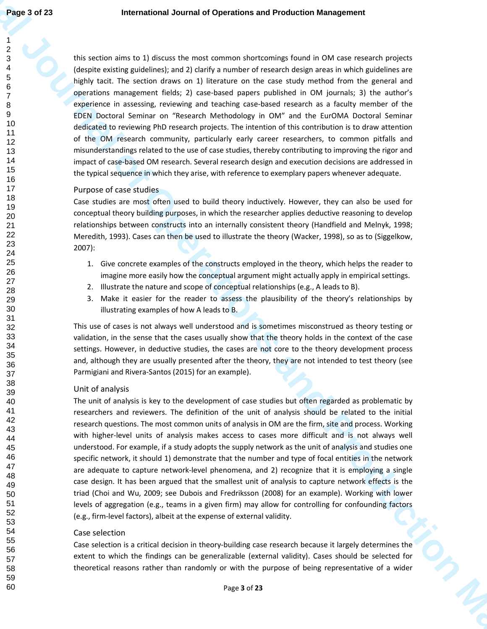**Page 19 d12**<br> **International Journal of Operations and Production Management**<br> **I**<br> **International Constraints and Constraints and Constraints and Constraints are also that the constraints are also the constraints and th** this section aims to 1) discuss the most common shortcomings found in OM case research projects (despite existing guidelines); and 2) clarify a number of research design areas in which guidelines are highly tacit. The section draws on 1) literature on the case study method from the general and operations management fields; 2) case-based papers published in OM journals; 3) the author's experience in assessing, reviewing and teaching case-based research as a faculty member of the EDEN Doctoral Seminar on "Research Methodology in OM" and the EurOMA Doctoral Seminar dedicated to reviewing PhD research projects. The intention of this contribution is to draw attention of the OM research community, particularly early career researchers, to common pitfalls and misunderstandings related to the use of case studies, thereby contributing to improving the rigor and impact of case-based OM research. Several research design and execution decisions are addressed in the typical sequence in which they arise, with reference to exemplary papers whenever adequate.

#### Purpose of case studies

Case studies are most often used to build theory inductively. However, they can also be used for conceptual theory building purposes, in which the researcher applies deductive reasoning to develop relationships between constructs into an internally consistent theory (Handfield and Melnyk, 1998; Meredith, 1993). Cases can then be used to illustrate the theory (Wacker, 1998), so as to (Siggelkow, 2007):

- 1. Give concrete examples of the constructs employed in the theory, which helps the reader to imagine more easily how the conceptual argument might actually apply in empirical settings.
- 2. Illustrate the nature and scope of conceptual relationships (e.g., A leads to B).
- 3. Make it easier for the reader to assess the plausibility of the theory's relationships by illustrating examples of how A leads to B.

This use of cases is not always well understood and is sometimes misconstrued as theory testing or validation, in the sense that the cases usually show that the theory holds in the context of the case settings. However, in deductive studies, the cases are not core to the theory development process and, although they are usually presented after the theory, they are not intended to test theory (see Parmigiani and Rivera-Santos (2015) for an example).

## Unit of analysis

The unit of analysis is key to the development of case studies but often regarded as problematic by researchers and reviewers. The definition of the unit of analysis should be related to the initial research questions. The most common units of analysis in OM are the firm, site and process. Working with higher-level units of analysis makes access to cases more difficult and is not always well understood. For example, if a study adopts the supply network as the unit of analysis and studies one specific network, it should 1) demonstrate that the number and type of focal entities in the network are adequate to capture network-level phenomena, and 2) recognize that it is employing a single case design. It has been argued that the smallest unit of analysis to capture network effects is the triad (Choi and Wu, 2009; see Dubois and Fredriksson (2008) for an example). Working with lower levels of aggregation (e.g., teams in a given firm) may allow for controlling for confounding factors (e.g., firm-level factors), albeit at the expense of external validity.

## Case selection

Case selection is a critical decision in theory-building case research because it largely determines the extent to which the findings can be generalizable (external validity). Cases should be selected for theoretical reasons rather than randomly or with the purpose of being representative of a wider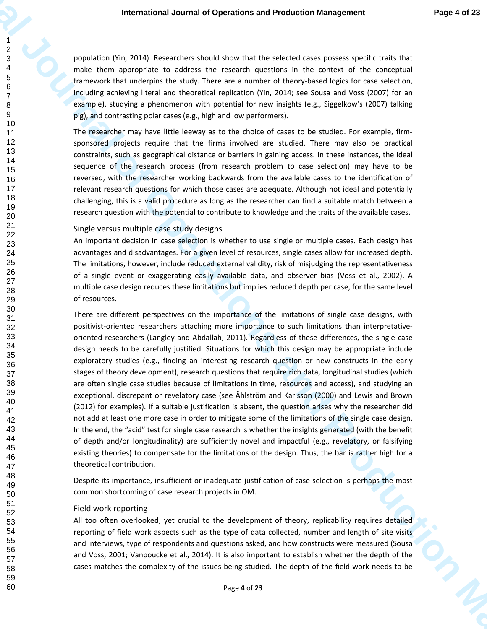population (Yin, 2014). Researchers should show that the selected cases possess specific traits that make them appropriate to address the research questions in the context of the conceptual framework that underpins the study. There are a number of theory-based logics for case selection, including achieving literal and theoretical replication (Yin, 2014; see Sousa and Voss (2007) for an example), studying a phenomenon with potential for new insights (e.g., Siggelkow's (2007) talking pig), and contrasting polar cases (e.g., high and low performers).

The researcher may have little leeway as to the choice of cases to be studied. For example, firmsponsored projects require that the firms involved are studied. There may also be practical constraints, such as geographical distance or barriers in gaining access. In these instances, the ideal sequence of the research process (from research problem to case selection) may have to be reversed, with the researcher working backwards from the available cases to the identification of relevant research questions for which those cases are adequate. Although not ideal and potentially challenging, this is a valid procedure as long as the researcher can find a suitable match between a research question with the potential to contribute to knowledge and the traits of the available cases.

#### Single versus multiple case study designs

An important decision in case selection is whether to use single or multiple cases. Each design has advantages and disadvantages. For a given level of resources, single cases allow for increased depth. The limitations, however, include reduced external validity, risk of misjudging the representativeness of a single event or exaggerating easily available data, and observer bias (Voss et al., 2002). A multiple case design reduces these limitations but implies reduced depth per case, for the same level of resources.

**International Journal of Operations and Production Management<br>
International of Operations and Constraint and the state information and the state in the state information of the state in a method of the internation of the** There are different perspectives on the importance of the limitations of single case designs, with positivist-oriented researchers attaching more importance to such limitations than interpretativeoriented researchers (Langley and Abdallah, 2011). Regardless of these differences, the single case design needs to be carefully justified. Situations for which this design may be appropriate include exploratory studies (e.g., finding an interesting research question or new constructs in the early stages of theory development), research questions that require rich data, longitudinal studies (which are often single case studies because of limitations in time, resources and access), and studying an exceptional, discrepant or revelatory case (see Åhlström and Karlsson (2000) and Lewis and Brown (2012) for examples). If a suitable justification is absent, the question arises why the researcher did not add at least one more case in order to mitigate some of the limitations of the single case design. In the end, the "acid" test for single case research is whether the insights generated (with the benefit of depth and/or longitudinality) are sufficiently novel and impactful (e.g., revelatory, or falsifying existing theories) to compensate for the limitations of the design. Thus, the bar is rather high for a theoretical contribution.

Despite its importance, insufficient or inadequate justification of case selection is perhaps the most common shortcoming of case research projects in OM.

#### Field work reporting

All too often overlooked, yet crucial to the development of theory, replicability requires detailed reporting of field work aspects such as the type of data collected, number and length of site visits and interviews, type of respondents and questions asked, and how constructs were measured (Sousa and Voss, 2001; Vanpoucke et al., 2014). It is also important to establish whether the depth of the cases matches the complexity of the issues being studied. The depth of the field work needs to be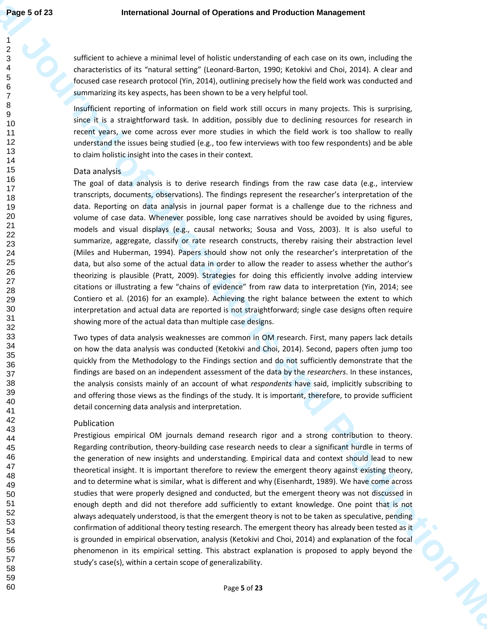sufficient to achieve a minimal level of holistic understanding of each case on its own, including the characteristics of its "natural setting" (Leonard-Barton, 1990; Ketokivi and Choi, 2014). A clear and focused case research protocol (Yin, 2014), outlining precisely how the field work was conducted and summarizing its key aspects, has been shown to be a very helpful tool.

Insufficient reporting of information on field work still occurs in many projects. This is surprising, since it is a straightforward task. In addition, possibly due to declining resources for research in recent years, we come across ever more studies in which the field work is too shallow to really understand the issues being studied (e.g., too few interviews with too few respondents) and be able to claim holistic insight into the cases in their context.

#### Data analysis

**Fage 5 of 23**<br> **International Journal of Operations and Production Management**<br> **I**<br> **International of the tractional street of halots understand of our other standard of<br>
Conseil case resembents of the Conseil case in th** The goal of data analysis is to derive research findings from the raw case data (e.g., interview transcripts, documents, observations). The findings represent the researcher's interpretation of the data. Reporting on data analysis in journal paper format is a challenge due to the richness and volume of case data. Whenever possible, long case narratives should be avoided by using figures, models and visual displays (e.g., causal networks; Sousa and Voss, 2003). It is also useful to summarize, aggregate, classify or rate research constructs, thereby raising their abstraction level (Miles and Huberman, 1994). Papers should show not only the researcher's interpretation of the data, but also some of the actual data in order to allow the reader to assess whether the author's theorizing is plausible (Pratt, 2009). Strategies for doing this efficiently involve adding interview citations or illustrating a few "chains of evidence" from raw data to interpretation (Yin, 2014; see Contiero et al. (2016) for an example). Achieving the right balance between the extent to which interpretation and actual data are reported is not straightforward; single case designs often require showing more of the actual data than multiple case designs.

Two types of data analysis weaknesses are common in OM research. First, many papers lack details on how the data analysis was conducted (Ketokivi and Choi, 2014). Second, papers often jump too quickly from the Methodology to the Findings section and do not sufficiently demonstrate that the findings are based on an independent assessment of the data by the *researchers*. In these instances, the analysis consists mainly of an account of what *respondents* have said, implicitly subscribing to and offering those views as the findings of the study. It is important, therefore, to provide sufficient detail concerning data analysis and interpretation.

## Publication

Prestigious empirical OM journals demand research rigor and a strong contribution to theory. Regarding contribution, theory-building case research needs to clear a significant hurdle in terms of the generation of new insights and understanding. Empirical data and context should lead to new theoretical insight. It is important therefore to review the emergent theory against existing theory, and to determine what is similar, what is different and why (Eisenhardt, 1989). We have come across studies that were properly designed and conducted, but the emergent theory was not discussed in enough depth and did not therefore add sufficiently to extant knowledge. One point that is not always adequately understood, is that the emergent theory is not to be taken as speculative, pending confirmation of additional theory testing research. The emergent theory has already been tested as it is grounded in empirical observation, analysis (Ketokivi and Choi, 2014) and explanation of the focal phenomenon in its empirical setting. This abstract explanation is proposed to apply beyond the study's case(s), within a certain scope of generalizability.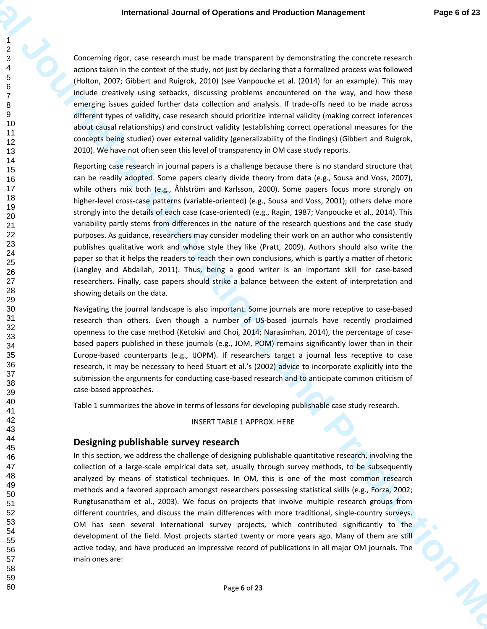Concerning rigor, case research must be made transparent by demonstrating the concrete research actions taken in the context of the study, not just by declaring that a formalized process was followed (Holton, 2007; Gibbert and Ruigrok, 2010) (see Vanpoucke et al. (2014) for an example). This may include creatively using setbacks, discussing problems encountered on the way, and how these emerging issues guided further data collection and analysis. If trade-offs need to be made across different types of validity, case research should prioritize internal validity (making correct inferences about causal relationships) and construct validity (establishing correct operational measures for the concepts being studied) over external validity (generalizability of the findings) (Gibbert and Ruigrok, 2010). We have not often seen this level of transparency in OM case study reports.

**International Journal of Operations and Production Management Pape 6 of 23**<br>
2. Chroming dept. contextual of the statistic production Management Pape 6 of 23<br>
2. Chroming dept. contextual Applies to decode the statistic s Reporting case research in journal papers is a challenge because there is no standard structure that can be readily adopted. Some papers clearly divide theory from data (e.g., Sousa and Voss, 2007), while others mix both (e.g., Åhlström and Karlsson, 2000). Some papers focus more strongly on higher-level cross-case patterns (variable-oriented) (e.g., Sousa and Voss, 2001); others delve more strongly into the details of each case (case-oriented) (e.g., Ragin, 1987; Vanpoucke et al., 2014). This variability partly stems from differences in the nature of the research questions and the case study purposes. As guidance, researchers may consider modeling their work on an author who consistently publishes qualitative work and whose style they like (Pratt, 2009). Authors should also write the paper so that it helps the readers to reach their own conclusions, which is partly a matter of rhetoric (Langley and Abdallah, 2011). Thus, being a good writer is an important skill for case-based researchers. Finally, case papers should strike a balance between the extent of interpretation and showing details on the data.

Navigating the journal landscape is also important. Some journals are more receptive to case-based research than others. Even though a number of US-based journals have recently proclaimed openness to the case method (Ketokivi and Choi, 2014; Narasimhan, 2014), the percentage of casebased papers published in these journals (e.g., JOM, POM) remains significantly lower than in their Europe-based counterparts (e.g., IJOPM). If researchers target a journal less receptive to case research, it may be necessary to heed Stuart et al.'s (2002) advice to incorporate explicitly into the submission the arguments for conducting case-based research and to anticipate common criticism of case-based approaches.

Table 1 summarizes the above in terms of lessons for developing publishable case study research.

INSERT TABLE 1 APPROX. HERE

## **Designing publishable survey research**

In this section, we address the challenge of designing publishable quantitative research, involving the collection of a large-scale empirical data set, usually through survey methods, to be subsequently analyzed by means of statistical techniques. In OM, this is one of the most common research methods and a favored approach amongst researchers possessing statistical skills (e.g., Forza, 2002; Rungtusanatham et al., 2003). We focus on projects that involve multiple research groups from different countries, and discuss the main differences with more traditional, single-country surveys. OM has seen several international survey projects, which contributed significantly to the development of the field. Most projects started twenty or more years ago. Many of them are still active today, and have produced an impressive record of publications in all major OM journals. The main ones are: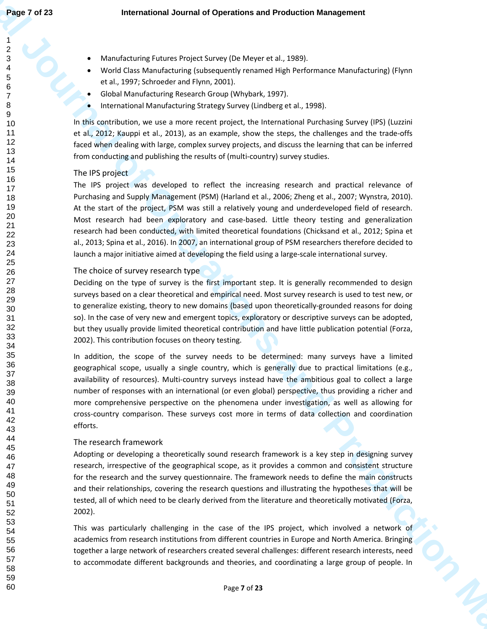- Manufacturing Futures Project Survey (De Meyer et al., 1989).
- World Class Manufacturing (subsequently renamed High Performance Manufacturing) (Flynn et al., 1997; Schroeder and Flynn, 2001).
- Global Manufacturing Research Group (Whybark, 1997).
- International Manufacturing Strategy Survey (Lindberg et al., 1998).

In this contribution, we use a more recent project, the International Purchasing Survey (IPS) (Luzzini et al., 2012; Kauppi et al., 2013), as an example, show the steps, the challenges and the trade-offs faced when dealing with large, complex survey projects, and discuss the learning that can be inferred from conducting and publishing the results of (multi-country) survey studies.

## The IPS project

**International Journal of Operations and Production Management** The IPS project was developed to reflect the increasing research and practical relevance of Purchasing and Supply Management (PSM) (Harland et al., 2006; Zheng et al., 2007; Wynstra, 2010). At the start of the project, PSM was still a relatively young and underdeveloped field of research. Most research had been exploratory and case-based. Little theory testing and generalization research had been conducted, with limited theoretical foundations (Chicksand et al., 2012; Spina et al., 2013; Spina et al., 2016). In 2007, an international group of PSM researchers therefore decided to launch a major initiative aimed at developing the field using a large-scale international survey.

## The choice of survey research type

Deciding on the type of survey is the first important step. It is generally recommended to design surveys based on a clear theoretical and empirical need. Most survey research is used to test new, or to generalize existing, theory to new domains (based upon theoretically-grounded reasons for doing so). In the case of very new and emergent topics, exploratory or descriptive surveys can be adopted, but they usually provide limited theoretical contribution and have little publication potential (Forza, 2002). This contribution focuses on theory testing.

In addition, the scope of the survey needs to be determined: many surveys have a limited geographical scope, usually a single country, which is generally due to practical limitations (e.g., availability of resources). Multi-country surveys instead have the ambitious goal to collect a large number of responses with an international (or even global) perspective, thus providing a richer and more comprehensive perspective on the phenomena under investigation, as well as allowing for cross-country comparison. These surveys cost more in terms of data collection and coordination efforts.

## The research framework

Adopting or developing a theoretically sound research framework is a key step in designing survey research, irrespective of the geographical scope, as it provides a common and consistent structure for the research and the survey questionnaire. The framework needs to define the main constructs and their relationships, covering the research questions and illustrating the hypotheses that will be tested, all of which need to be clearly derived from the literature and theoretically motivated (Forza, 2002).

This was particularly challenging in the case of the IPS project, which involved a network of academics from research institutions from different countries in Europe and North America. Bringing together a large network of researchers created several challenges: different research interests, need to accommodate different backgrounds and theories, and coordinating a large group of people. In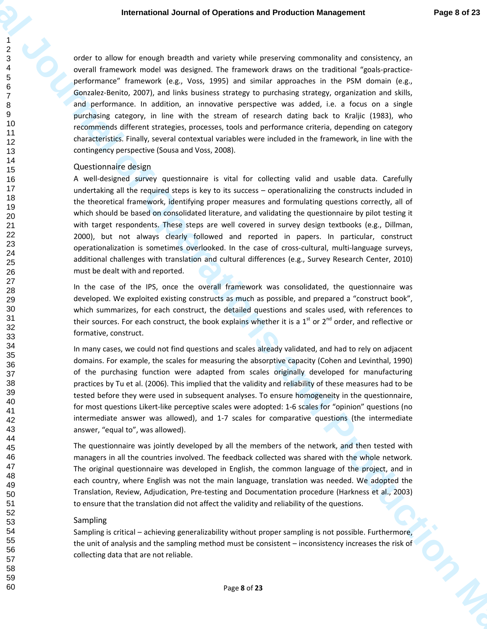**International Journal of Operations and Production Management<br>
International of Operations and Production Management<br>
2. The context members was context to the production of the filter system and the production and the pr** order to allow for enough breadth and variety while preserving commonality and consistency, an overall framework model was designed. The framework draws on the traditional "goals-practiceperformance" framework (e.g., Voss, 1995) and similar approaches in the PSM domain (e.g., Gonzalez-Benito, 2007), and links business strategy to purchasing strategy, organization and skills, and performance. In addition, an innovative perspective was added, i.e. a focus on a single purchasing category, in line with the stream of research dating back to Kraljic (1983), who recommends different strategies, processes, tools and performance criteria, depending on category characteristics. Finally, several contextual variables were included in the framework, in line with the contingency perspective (Sousa and Voss, 2008).

#### Questionnaire design

A well-designed survey questionnaire is vital for collecting valid and usable data. Carefully undertaking all the required steps is key to its success – operationalizing the constructs included in the theoretical framework, identifying proper measures and formulating questions correctly, all of which should be based on consolidated literature, and validating the questionnaire by pilot testing it with target respondents. These steps are well covered in survey design textbooks (e.g., Dillman, 2000), but not always clearly followed and reported in papers. In particular, construct operationalization is sometimes overlooked. In the case of cross-cultural, multi-language surveys, additional challenges with translation and cultural differences (e.g., Survey Research Center, 2010) must be dealt with and reported.

In the case of the IPS, once the overall framework was consolidated, the questionnaire was developed. We exploited existing constructs as much as possible, and prepared a "construct book", which summarizes, for each construct, the detailed questions and scales used, with references to their sources. For each construct, the book explains whether it is a  $1<sup>st</sup>$  or  $2<sup>nd</sup>$  order, and reflective or formative, construct.

In many cases, we could not find questions and scales already validated, and had to rely on adjacent domains. For example, the scales for measuring the absorptive capacity (Cohen and Levinthal, 1990) of the purchasing function were adapted from scales originally developed for manufacturing practices by Tu et al. (2006). This implied that the validity and reliability of these measures had to be tested before they were used in subsequent analyses. To ensure homogeneity in the questionnaire, for most questions Likert-like perceptive scales were adopted: 1-6 scales for "opinion" questions (no intermediate answer was allowed), and 1-7 scales for comparative questions (the intermediate answer, "equal to", was allowed).

The questionnaire was jointly developed by all the members of the network, and then tested with managers in all the countries involved. The feedback collected was shared with the whole network. The original questionnaire was developed in English, the common language of the project, and in each country, where English was not the main language, translation was needed. We adopted the Translation, Review, Adjudication, Pre-testing and Documentation procedure (Harkness et al., 2003) to ensure that the translation did not affect the validity and reliability of the questions.

#### Sampling

Sampling is critical – achieving generalizability without proper sampling is not possible. Furthermore, the unit of analysis and the sampling method must be consistent – inconsistency increases the risk of collecting data that are not reliable.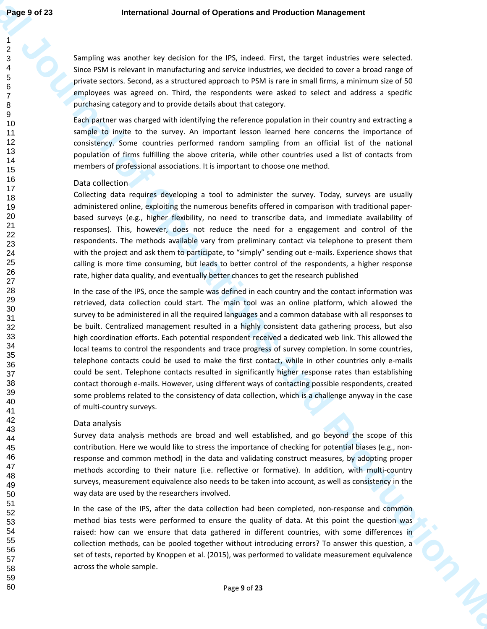Sampling was another key decision for the IPS, indeed. First, the target industries were selected. Since PSM is relevant in manufacturing and service industries, we decided to cover a broad range of private sectors. Second, as a structured approach to PSM is rare in small firms, a minimum size of 50 employees was agreed on. Third, the respondents were asked to select and address a specific purchasing category and to provide details about that category.

Each partner was charged with identifying the reference population in their country and extracting a sample to invite to the survey. An important lesson learned here concerns the importance of consistency. Some countries performed random sampling from an official list of the national population of firms fulfilling the above criteria, while other countries used a list of contacts from members of professional associations. It is important to choose one method.

#### Data collection

Collecting data requires developing a tool to administer the survey. Today, surveys are usually administered online, exploiting the numerous benefits offered in comparison with traditional paperbased surveys (e.g., higher flexibility, no need to transcribe data, and immediate availability of responses). This, however, does not reduce the need for a engagement and control of the respondents. The methods available vary from preliminary contact via telephone to present them with the project and ask them to participate, to "simply" sending out e-mails. Experience shows that calling is more time consuming, but leads to better control of the respondents, a higher response rate, higher data quality, and eventually better chances to get the research published

**Page 19 d 21**<br> **International Journal of Operations and Production Management**<br> **I**<br> **International Conservation Schementary and Conservation Schementary and Conservation Schementary<br>
<b>I** Serve that the conservation of th In the case of the IPS, once the sample was defined in each country and the contact information was retrieved, data collection could start. The main tool was an online platform, which allowed the survey to be administered in all the required languages and a common database with all responses to be built. Centralized management resulted in a highly consistent data gathering process, but also high coordination efforts. Each potential respondent received a dedicated web link. This allowed the local teams to control the respondents and trace progress of survey completion. In some countries, telephone contacts could be used to make the first contact, while in other countries only e-mails could be sent. Telephone contacts resulted in significantly higher response rates than establishing contact thorough e-mails. However, using different ways of contacting possible respondents, created some problems related to the consistency of data collection, which is a challenge anyway in the case of multi-country surveys.

#### Data analysis

Survey data analysis methods are broad and well established, and go beyond the scope of this contribution. Here we would like to stress the importance of checking for potential biases (e.g., nonresponse and common method) in the data and validating construct measures, by adopting proper methods according to their nature (i.e. reflective or formative). In addition, with multi-country surveys, measurement equivalence also needs to be taken into account, as well as consistency in the way data are used by the researchers involved.

In the case of the IPS, after the data collection had been completed, non-response and common method bias tests were performed to ensure the quality of data. At this point the question was raised: how can we ensure that data gathered in different countries, with some differences in collection methods, can be pooled together without introducing errors? To answer this question, a set of tests, reported by Knoppen et al. (2015), was performed to validate measurement equivalence across the whole sample.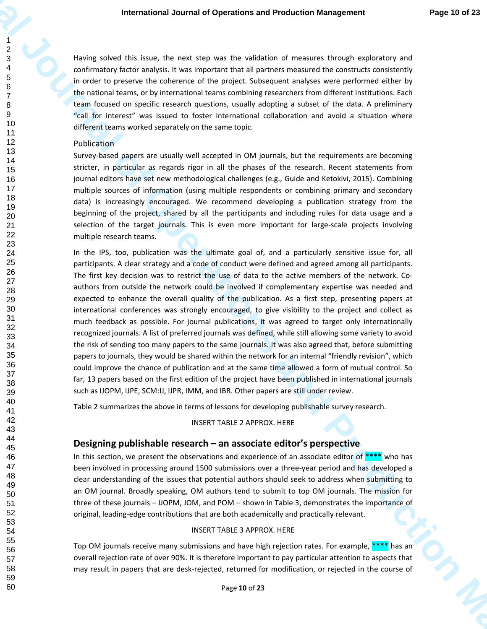Having solved this issue, the next step was the validation of measures through exploratory and confirmatory factor analysis. It was important that all partners measured the constructs consistently in order to preserve the coherence of the project. Subsequent analyses were performed either by the national teams, or by international teams combining researchers from different institutions. Each team focused on specific research questions, usually adopting a subset of the data. A preliminary "call for interest" was issued to foster international collaboration and avoid a situation where different teams worked separately on the same topic.

#### Publication

Survey-based papers are usually well accepted in OM journals, but the requirements are becoming stricter, in particular as regards rigor in all the phases of the research. Recent statements from journal editors have set new methodological challenges (e.g., Guide and Ketokivi, 2015). Combining multiple sources of information (using multiple respondents or combining primary and secondary data) is increasingly encouraged. We recommend developing a publication strategy from the beginning of the project, shared by all the participants and including rules for data usage and a selection of the target journals. This is even more important for large-scale projects involving multiple research teams.

**International Journal of Operations and Production Management<br>
International Journal of Operations and Production Management<br>
2. Solution the state of the project state of the project state of the project state of the pr** In the IPS, too, publication was the ultimate goal of, and a particularly sensitive issue for, all participants. A clear strategy and a code of conduct were defined and agreed among all participants. The first key decision was to restrict the use of data to the active members of the network. Coauthors from outside the network could be involved if complementary expertise was needed and expected to enhance the overall quality of the publication. As a first step, presenting papers at international conferences was strongly encouraged, to give visibility to the project and collect as much feedback as possible. For journal publications, it was agreed to target only internationally recognized journals. A list of preferred journals was defined, while still allowing some variety to avoid the risk of sending too many papers to the same journals. It was also agreed that, before submitting papers to journals, they would be shared within the network for an internal "friendly revision", which could improve the chance of publication and at the same time allowed a form of mutual control. So far, 13 papers based on the first edition of the project have been published in international journals such as IJOPM, IJPE, SCM:IJ, IJPR, IMM, and IBR. Other papers are still under review.

Table 2 summarizes the above in terms of lessons for developing publishable survey research.

#### INSERT TABLE 2 APPROX. HERE

#### **Designing publishable research – an associate editor's perspective**

In this section, we present the observations and experience of an associate editor of  $***$  who has been involved in processing around 1500 submissions over a three-year period and has developed a clear understanding of the issues that potential authors should seek to address when submitting to an OM journal. Broadly speaking, OM authors tend to submit to top OM journals. The mission for three of these journals – IJOPM, JOM, and POM – shown in Table 3, demonstrates the importance of original, leading-edge contributions that are both academically and practically relevant.

#### INSERT TABLE 3 APPROX. HERE

Top OM journals receive many submissions and have high rejection rates. For example, \*\*\*\* has an overall rejection rate of over 90%. It is therefore important to pay particular attention to aspects that may result in papers that are desk-rejected, returned for modification, or rejected in the course of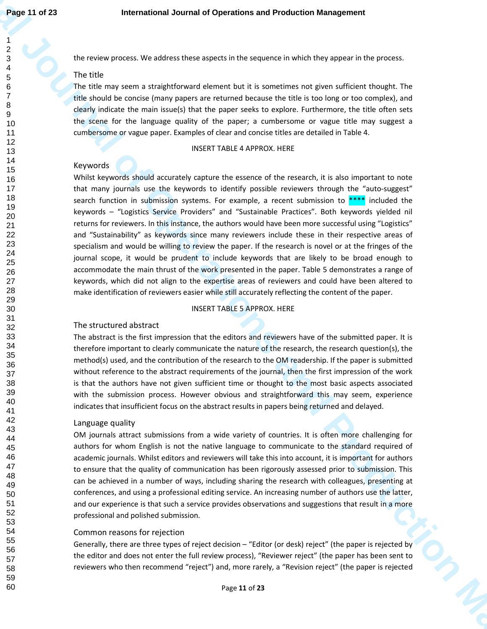the review process. We address these aspects in the sequence in which they appear in the process.

# The title

The title may seem a straightforward element but it is sometimes not given sufficient thought. The title should be concise (many papers are returned because the title is too long or too complex), and clearly indicate the main issue(s) that the paper seeks to explore. Furthermore, the title often sets the scene for the language quality of the paper; a cumbersome or vague title may suggest a cumbersome or vague paper. Examples of clear and concise titles are detailed in Table 4.

## INSERT TABLE 4 APPROX. HERE

# Keywords

**IPage 11 of 23**<br> **International Journal of Operations and Production Management**<br> **I**Page 11 of 23<br> **I**Page 11 of 23<br> **IPage 11 of 23**<br> **IPage 11 of 23**<br> **IPage 11 of 23**<br> **IPage 11 of 23**<br> **IPage 12 of the stress seem as** Whilst keywords should accurately capture the essence of the research, it is also important to note that many journals use the keywords to identify possible reviewers through the "auto-suggest" search function in submission systems. For example, a recent submission to \*\*\*\* included the keywords – "Logistics Service Providers" and "Sustainable Practices". Both keywords yielded nil returns for reviewers. In this instance, the authors would have been more successful using "Logistics" and "Sustainability" as keywords since many reviewers include these in their respective areas of specialism and would be willing to review the paper. If the research is novel or at the fringes of the journal scope, it would be prudent to include keywords that are likely to be broad enough to accommodate the main thrust of the work presented in the paper. Table 5 demonstrates a range of keywords, which did not align to the expertise areas of reviewers and could have been altered to make identification of reviewers easier while still accurately reflecting the content of the paper.

## INSERT TABLE 5 APPROX. HERE

# The structured abstract

The abstract is the first impression that the editors and reviewers have of the submitted paper. It is therefore important to clearly communicate the nature of the research, the research question(s), the method(s) used, and the contribution of the research to the OM readership. If the paper is submitted without reference to the abstract requirements of the journal, then the first impression of the work is that the authors have not given sufficient time or thought to the most basic aspects associated with the submission process. However obvious and straightforward this may seem, experience indicates that insufficient focus on the abstract results in papers being returned and delayed.

# Language quality

OM journals attract submissions from a wide variety of countries. It is often more challenging for authors for whom English is not the native language to communicate to the standard required of academic journals. Whilst editors and reviewers will take this into account, it is important for authors to ensure that the quality of communication has been rigorously assessed prior to submission. This can be achieved in a number of ways, including sharing the research with colleagues, presenting at conferences, and using a professional editing service. An increasing number of authors use the latter, and our experience is that such a service provides observations and suggestions that result in a more professional and polished submission.

# Common reasons for rejection

Generally, there are three types of reject decision – "Editor (or desk) reject" (the paper is rejected by the editor and does not enter the full review process), "Reviewer reject" (the paper has been sent to reviewers who then recommend "reject") and, more rarely, a "Revision reject" (the paper is rejected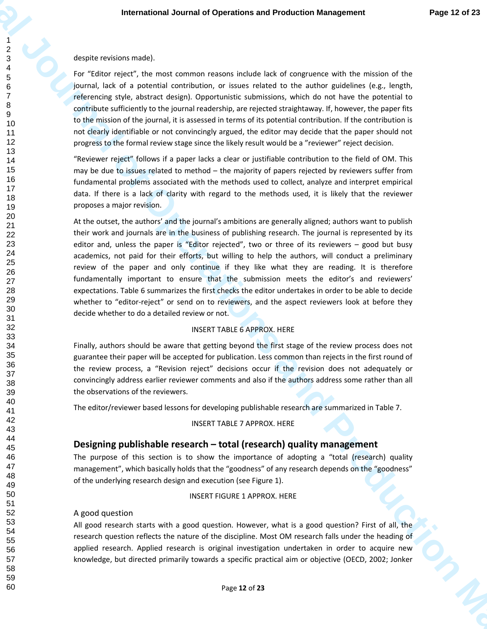#### despite revisions made).

For "Editor reject", the most common reasons include lack of congruence with the mission of the journal, lack of a potential contribution, or issues related to the author guidelines (e.g., length, referencing style, abstract design). Opportunistic submissions, which do not have the potential to contribute sufficiently to the journal readership, are rejected straightaway. If, however, the paper fits to the mission of the journal, it is assessed in terms of its potential contribution. If the contribution is not clearly identifiable or not convincingly argued, the editor may decide that the paper should not progress to the formal review stage since the likely result would be a "reviewer" reject decision.

"Reviewer reject" follows if a paper lacks a clear or justifiable contribution to the field of OM. This may be due to issues related to method – the majority of papers rejected by reviewers suffer from fundamental problems associated with the methods used to collect, analyze and interpret empirical data. If there is a lack of clarity with regard to the methods used, it is likely that the reviewer proposes a major revision.

**International Journal of Operations and Production Management Page 12 of 23**<br>
4. Control international of Control international of *Distribution* of *Control international* denternation of *Control international* of *Cont* At the outset, the authors' and the journal's ambitions are generally aligned; authors want to publish their work and journals are in the business of publishing research. The journal is represented by its editor and, unless the paper is "Editor rejected", two or three of its reviewers – good but busy academics, not paid for their efforts, but willing to help the authors, will conduct a preliminary review of the paper and only continue if they like what they are reading. It is therefore fundamentally important to ensure that the submission meets the editor's and reviewers' expectations. Table 6 summarizes the first checks the editor undertakes in order to be able to decide whether to "editor-reject" or send on to reviewers, and the aspect reviewers look at before they decide whether to do a detailed review or not.

## INSERT TABLE 6 APPROX. HERE

Finally, authors should be aware that getting beyond the first stage of the review process does not guarantee their paper will be accepted for publication. Less common than rejects in the first round of the review process, a "Revision reject" decisions occur if the revision does not adequately or convincingly address earlier reviewer comments and also if the authors address some rather than all the observations of the reviewers.

The editor/reviewer based lessons for developing publishable research are summarized in Table 7.

#### INSERT TABLE 7 APPROX. HERE

## **Designing publishable research – total (research) quality management**

The purpose of this section is to show the importance of adopting a "total (research) quality management", which basically holds that the "goodness" of any research depends on the "goodness" of the underlying research design and execution (see Figure 1).

#### INSERT FIGURE 1 APPROX. HERE

## A good question

All good research starts with a good question. However, what is a good question? First of all, the research question reflects the nature of the discipline. Most OM research falls under the heading of applied research. Applied research is original investigation undertaken in order to acquire new knowledge, but directed primarily towards a specific practical aim or objective (OECD, 2002; Jonker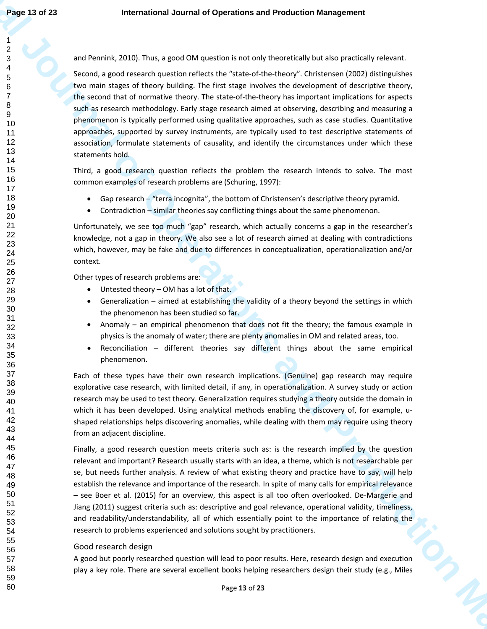and Pennink, 2010). Thus, a good OM question is not only theoretically but also practically relevant.

**IPage 13 of 23**<br> **International Journal of Operations and Production Management**<br> **I**<br> **International Section 19 (a)** the station of the stational production of the stational production of the stational production of the Second, a good research question reflects the "state-of-the-theory". Christensen (2002) distinguishes two main stages of theory building. The first stage involves the development of descriptive theory, the second that of normative theory. The state-of-the-theory has important implications for aspects such as research methodology. Early stage research aimed at observing, describing and measuring a phenomenon is typically performed using qualitative approaches, such as case studies. Quantitative approaches, supported by survey instruments, are typically used to test descriptive statements of association, formulate statements of causality, and identify the circumstances under which these statements hold.

Third, a good research question reflects the problem the research intends to solve. The most common examples of research problems are (Schuring, 1997):

- Gap research "terra incognita", the bottom of Christensen's descriptive theory pyramid.
- Contradiction similar theories say conflicting things about the same phenomenon.

Unfortunately, we see too much "gap" research, which actually concerns a gap in the researcher's knowledge, not a gap in theory. We also see a lot of research aimed at dealing with contradictions which, however, may be fake and due to differences in conceptualization, operationalization and/or context.

Other types of research problems are:

- Untested theory OM has a lot of that.
- Generalization aimed at establishing the validity of a theory beyond the settings in which the phenomenon has been studied so far.
- Anomaly an empirical phenomenon that does not fit the theory; the famous example in physics is the anomaly of water; there are plenty anomalies in OM and related areas, too.
- Reconciliation different theories say different things about the same empirical phenomenon.

Each of these types have their own research implications. (Genuine) gap research may require explorative case research, with limited detail, if any, in operationalization. A survey study or action research may be used to test theory. Generalization requires studying a theory outside the domain in which it has been developed. Using analytical methods enabling the discovery of, for example, ushaped relationships helps discovering anomalies, while dealing with them may require using theory from an adjacent discipline.

Finally, a good research question meets criteria such as: is the research implied by the question relevant and important? Research usually starts with an idea, a theme, which is not researchable per se, but needs further analysis. A review of what existing theory and practice have to say, will help establish the relevance and importance of the research. In spite of many calls for empirical relevance – see Boer et al. (2015) for an overview, this aspect is all too often overlooked. De-Margerie and Jiang (2011) suggest criteria such as: descriptive and goal relevance, operational validity, timeliness, and readability/understandability, all of which essentially point to the importance of relating the research to problems experienced and solutions sought by practitioners.

# Good research design

A good but poorly researched question will lead to poor results. Here, research design and execution play a key role. There are several excellent books helping researchers design their study (e.g., Miles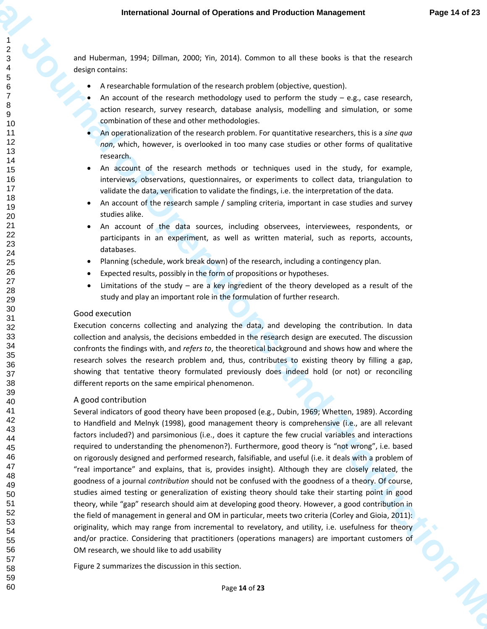and Huberman, 1994; Dillman, 2000; Yin, 2014). Common to all these books is that the research design contains:

- A researchable formulation of the research problem (objective, question).
- An account of the research methodology used to perform the study  $-$  e.g., case research, action research, survey research, database analysis, modelling and simulation, or some combination of these and other methodologies.
- An operationalization of the research problem. For quantitative researchers, this is a *sine qua non*, which, however, is overlooked in too many case studies or other forms of qualitative research.
- An account of the research methods or techniques used in the study, for example, interviews, observations, questionnaires, or experiments to collect data, triangulation to validate the data, verification to validate the findings, i.e. the interpretation of the data.
- An account of the research sample / sampling criteria, important in case studies and survey studies alike.
- An account of the data sources, including observees, interviewees, respondents, or participants in an experiment, as well as written material, such as reports, accounts, databases.
- Planning (schedule, work break down) of the research, including a contingency plan.
- Expected results, possibly in the form of propositions or hypotheses.
- Limitations of the study are a key ingredient of the theory developed as a result of the study and play an important role in the formulation of further research.

#### Good execution

Execution concerns collecting and analyzing the data, and developing the contribution. In data collection and analysis, the decisions embedded in the research design are executed. The discussion confronts the findings with, and *refers to*, the theoretical background and shows how and where the research solves the research problem and, thus, contributes to existing theory by filling a gap, showing that tentative theory formulated previously does indeed hold (or not) or reconciling different reports on the same empirical phenomenon.

#### A good contribution

**International Journal of Operations and Production Management**<br> **International ACA (EU)**<br> **International ACA (EU)**<br> **International of Operations and Production ACA (EU)**<br> **A Anatomissis furthering the production and the p** Several indicators of good theory have been proposed (e.g., Dubin, 1969; Whetten, 1989). According to Handfield and Melnyk (1998), good management theory is comprehensive (i.e., are all relevant factors included?) and parsimonious (i.e., does it capture the few crucial variables and interactions required to understanding the phenomenon?). Furthermore, good theory is "not wrong", i.e. based on rigorously designed and performed research, falsifiable, and useful (i.e. it deals with a problem of "real importance" and explains, that is, provides insight). Although they are closely related, the goodness of a journal *contribution* should not be confused with the goodness of a theory. Of course, studies aimed testing or generalization of existing theory should take their starting point in good theory, while "gap" research should aim at developing good theory. However, a good contribution in the field of management in general and OM in particular, meets two criteria (Corley and Gioia, 2011): originality, which may range from incremental to revelatory, and utility, i.e. usefulness for theory and/or practice. Considering that practitioners (operations managers) are important customers of OM research, we should like to add usability

Figure 2 summarizes the discussion in this section.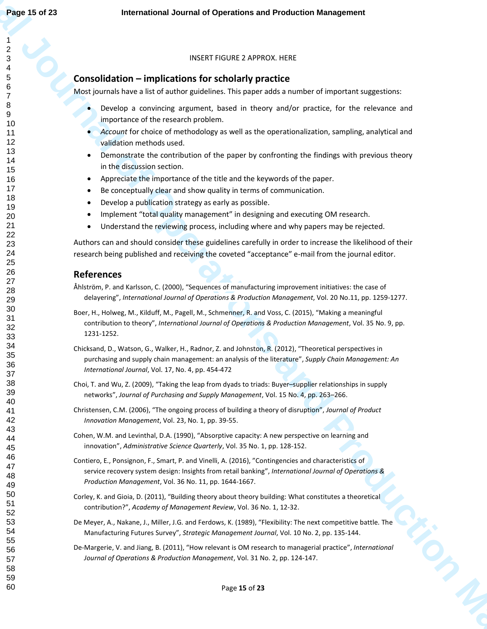# INSERT FIGURE 2 APPROX. HERE

# **Consolidation – implications for scholarly practice**

Most journals have a list of author guidelines. This paper adds a number of important suggestions:

- Develop a convincing argument, based in theory and/or practice, for the relevance and importance of the research problem.
- *Account* for choice of methodology as well as the operationalization, sampling, analytical and validation methods used.
- Demonstrate the contribution of the paper by confronting the findings with previous theory in the discussion section.
- Appreciate the importance of the title and the keywords of the paper.
- Be conceptually clear and show quality in terms of communication.
- Develop a publication strategy as early as possible.
- Implement "total quality management" in designing and executing OM research.
- Understand the reviewing process, including where and why papers may be rejected.

Authors can and should consider these guidelines carefully in order to increase the likelihood of their research being published and receiving the coveted "acceptance" e-mail from the journal editor.

# **References**

- Åhlström, P. and Karlsson, C. (2000), "Sequences of manufacturing improvement initiatives: the case of delayering", *International Journal of Operations & Production Management*, Vol. 20 No.11, pp. 1259-1277.
- **Page 15 of 23**<br> **International Journal of Operations and Production Management**<br> **I**<br> **International Street in the state of Street in the state of the state of the state of the state of the state of the state of the stat** Boer, H., Holweg, M., Kilduff, M., Pagell, M., Schmenner, R. and Voss, C. (2015), "Making a meaningful contribution to theory", *International Journal of Operations & Production Management*, Vol. 35 No. 9, pp. 1231-1252.
	- Chicksand, D., Watson, G., Walker, H., Radnor, Z. and Johnston, R. (2012), "Theoretical perspectives in purchasing and supply chain management: an analysis of the literature", *Supply Chain Management: An International Journal*, Vol. 17, No. 4, pp. 454-472
	- Choi, T. and Wu, Z. (2009), "Taking the leap from dyads to triads: Buyer–supplier relationships in supply networks", *Journal of Purchasing and Supply Management*, Vol. 15 No. 4, pp. 263–266.
	- Christensen, C.M. (2006), "The ongoing process of building a theory of disruption", *Journal of Product Innovation Management*, Vol. 23, No. 1, pp. 39-55.
	- Cohen, W.M. and Levinthal, D.A. (1990), "Absorptive capacity: A new perspective on learning and innovation", *Administrative Science Quarterly*, Vol. 35 No. 1, pp. 128-152.
	- Contiero, E., Ponsignon, F., Smart, P. and Vinelli, A. (2016), "Contingencies and characteristics of service recovery system design: Insights from retail banking", *International Journal of Operations & Production Management*, Vol. 36 No. 11, pp. 1644-1667.
	- Corley, K. and Gioia, D. (2011), "Building theory about theory building: What constitutes a theoretical contribution?", *Academy of Management Review*, Vol. 36 No. 1, 12-32.
	- De Meyer, A., Nakane, J., Miller, J.G. and Ferdows, K. (1989), "Flexibility: The next competitive battle. The Manufacturing Futures Survey", *Strategic Management Journal*, Vol. 10 No. 2, pp. 135-144.
	- De-Margerie, V. and Jiang, B. (2011), "How relevant is OM research to managerial practice", *International Journal of Operations & Production Management*, Vol. 31 No. 2, pp. 124-147.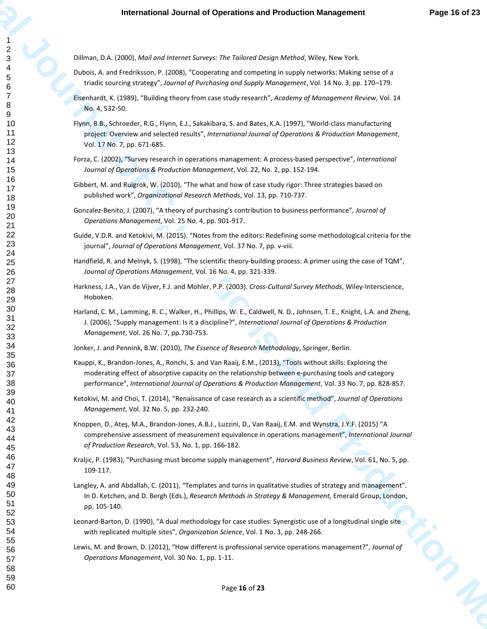Dillman, D.A. (2000), *Mail and Internet Surveys: The Tailored Design Method*, Wiley, New York.

- Dubois, A. and Fredriksson, P. (2008), "Cooperating and competing in supply networks: Making sense of a triadic sourcing strategy", *Journal of Purchasing and Supply Management*, Vol. 14 No. 3, pp. 170–179.
- Eisenhardt, K. (1989), "Building theory from case study research", *Academy of Management Review*, Vol. 14 No. 4, 532-50.
- **International Journal of Operations and Production Management<br>
International Action Management<br>
International Action Management<br>
2. Sometic Company and Company and Company and Company and Company and Company and Company** Flynn, B.B., Schroeder, R.G., Flynn, E.J., Sakakibara, S. and Bates, K.A. (1997), "World-class manufacturing project: Overview and selected results", *International Journal of Operations & Production Management*, Vol. 17 No. 7, pp. 671-685.
	- Forza, C. (2002), "Survey research in operations management: A process-based perspective", *International Journal of Operations & Production Management*, Vol. 22, No. 2, pp. 152-194.
	- Gibbert, M. and Ruigrok, W. (2010), "The what and how of case study rigor: Three strategies based on published work", *Organizational Research Methods*, Vol. 13, pp. 710-737.
	- Gonzalez-Benito, J. (2007), "A theory of purchasing's contribution to business performance", *Journal of Operations Management*, Vol. 25 No. 4, pp. 901-917.
	- Guide, V.D.R. and Ketokivi, M. (2015). "Notes from the editors: Redefining some methodological criteria for the journal", *Journal of Operations Management*, Vol. 37 No. 7, pp. v-viii.
	- Handfield, R. and Melnyk, S. (1998), "The scientific theory-building process: A primer using the case of TQM", *Journal of Operations Management*, Vol. 16 No. 4, pp. 321-339.
	- Harkness, J.A., Van de Vijver, F.J. and Mohler, P.P. (2003). *Cross-Cultural Survey Methods*, Wiley-Interscience, Hoboken.
	- Harland, C. M., Lamming, R. C., Walker, H., Phillips, W. E., Caldwell, N. D., Johnsen, T. E., Knight, L.A. and Zheng, J. (2006), "Supply management: Is it a discipline?", *International Journal of Operations & Production Management*, Vol. 26 No. 7, pp.730-753.
	- Jonker, J. and Pennink, B.W. (2010), *The Essence of Research Methodology*, Springer, Berlin.
	- Kauppi, K., Brandon-Jones, A., Ronchi, S. and Van Raaij, E.M., (2013), "Tools without skills: Exploring the moderating effect of absorptive capacity on the relationship between e-purchasing tools and category performance", *International Journal of Operations & Production Management*, Vol. 33 No. 7, pp. 828-857.
	- Ketokivi, M. and Choi, T. (2014), "Renaissance of case research as a scientific method", *Journal of Operations Management*, Vol. 32 No. 5, pp. 232-240.
	- Knoppen, D., Ateş, M.A., Brandon-Jones, A.B.J., Luzzini, D., Van Raaij, E.M. and Wynstra, J.Y.F. (2015) "A comprehensive assessment of measurement equivalence in operations management", *International Journal of Production Research*, Vol. 53, No. 1, pp. 166-182.
	- Kraljic, P. (1983), "Purchasing must become supply management", *Harvard Business Review*, Vol. 61, No. 5, pp. 109-117.
	- Langley, A. and Abdallah, C. (2011), "Templates and turns in qualitative studies of strategy and management". In D. Ketchen, and D. Bergh (Eds.), *Research Methods in Strategy & Management,* Emerald Group, London, pp. 105-140.
	- Leonard-Barton, D. (1990), "A dual methodology for case studies: Synergistic use of a longitudinal single site with replicated multiple sites", *Organization Science*, Vol. 1 No. 3, pp. 248-266.
	- Lewis, M. and Brown, D. (2012), "How different is professional service operations management?", *Journal of Operations Management*, Vol. 30 No. 1, pp. 1-11.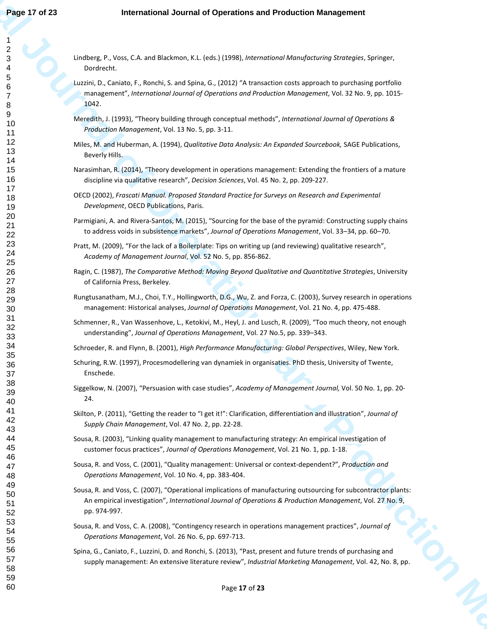| Page 17 of 23      | International Journal of Operations and Production Management                                                                                                                                                                     |
|--------------------|-----------------------------------------------------------------------------------------------------------------------------------------------------------------------------------------------------------------------------------|
|                    | Lindberg, P., Voss, C.A. and Blackmon, K.L. (eds.) (1998), International Manufacturing Strategies, Springer,<br>Dordrecht.                                                                                                        |
|                    | Luzzini, D., Caniato, F., Ronchi, S. and Spina, G., (2012) "A transaction costs approach to purchasing portfolio<br>management", International Journal of Operations and Production Management, Vol. 32 No. 9, pp. 1015-<br>1042. |
| 9<br>10<br>11      | Meredith, J. (1993), "Theory building through conceptual methods", International Journal of Operations &<br>Production Management, Vol. 13 No. 5, pp. 3-11.                                                                       |
| 12<br>13<br>14     | Miles, M. and Huberman, A. (1994), Qualitative Data Analysis: An Expanded Sourcebook, SAGE Publications,<br>Beverly Hills.                                                                                                        |
| 15<br>16           | Narasimhan, R. (2014), "Theory development in operations management: Extending the frontiers of a mature<br>discipline via qualitative research", Decision Sciences, Vol. 45 No. 2, pp. 209-227.                                  |
| 17<br>18<br>19     | OECD (2002), Frascati Manual. Proposed Standard Practice for Surveys on Research and Experimental<br>Development, OECD Publications, Paris.                                                                                       |
| 20<br>21<br>22     | Parmigiani, A. and Rivera-Santos, M. (2015), "Sourcing for the base of the pyramid: Constructing supply chains<br>to address voids in subsistence markets", Journal of Operations Management, Vol. 33-34, pp. 60-70.              |
| 23<br>24           | Pratt, M. (2009), "For the lack of a Boilerplate: Tips on writing up (and reviewing) qualitative research",<br>Academy of Management Journal, Vol. 52 No. 5, pp. 856-862.                                                         |
| 25<br>26<br>$27\,$ | Ragin, C. (1987), The Comparative Method: Moving Beyond Qualitative and Quantitative Strategies, University<br>of California Press, Berkeley.                                                                                     |
| 28<br>29<br>30     | Rungtusanatham, M.J., Choi, T.Y., Hollingworth, D.G., Wu, Z. and Forza, C. (2003), Survey research in operations<br>management: Historical analyses, Journal of Operations Management, Vol. 21 No. 4, pp. 475-488.                |
| 31<br>32<br>33     | Schmenner, R., Van Wassenhove, L., Ketokivi, M., Heyl, J. and Lusch, R. (2009), "Too much theory, not enough<br>understanding", Journal of Operations Management, Vol. 27 No.5, pp. 339-343.                                      |
| 34<br>35           | Schroeder, R. and Flynn, B. (2001), High Performance Manufacturing: Global Perspectives, Wiley, New York.                                                                                                                         |
| 36<br>37<br>38     | Schuring, R.W. (1997), Procesmodellering van dynamiek in organisaties. PhD thesis, University of Twente,<br>Enschede.                                                                                                             |
| 39<br>40           | Siggelkow, N. (2007), "Persuasion with case studies", Academy of Management Journal, Vol. 50 No. 1, pp. 20-<br>24.                                                                                                                |
| 41<br>42<br>43     | Skilton, P. (2011), "Getting the reader to "I get it!": Clarification, differentiation and illustration", Journal of<br>Supply Chain Management, Vol. 47 No. 2, pp. 22-28.                                                        |
| 44<br>45           | Sousa, R. (2003), "Linking quality management to manufacturing strategy: An empirical investigation of<br>customer focus practices", Journal of Operations Management, Vol. 21 No. 1, pp. 1-18.                                   |
| 46<br>47<br>48     | Sousa, R. and Voss, C. (2001), "Quality management: Universal or context-dependent?", Production and<br>Operations Management, Vol. 10 No. 4, pp. 383-404.                                                                        |
| 49<br>50<br>51     | Sousa, R. and Voss, C. (2007), "Operational implications of manufacturing outsourcing for subcontractor plants:<br>An empirical investigation", International Journal of Operations & Production Management, Vol. 27 No. 9,       |
| 52<br>53           | pp. 974-997.<br>Sousa, R. and Voss, C. A. (2008), "Contingency research in operations management practices", Journal of                                                                                                           |
| 54<br>55<br>56     | Operations Management, Vol. 26 No. 6, pp. 697-713.<br>Spina, G., Caniato, F., Luzzini, D. and Ronchi, S. (2013), "Past, present and future trends of purchasing and                                                               |
| 57<br>58<br>59     | supply management: An extensive literature review", Industrial Marketing Management, Vol. 42, No. 8, pp.                                                                                                                          |
| 60                 | Page 17 of 23                                                                                                                                                                                                                     |

- Luzzini, D., Caniato, F., Ronchi, S. and Spina, G., (2012) "A transaction costs approach to purchasing portfolio management", *International Journal of Operations and Production Management,* Vol. 32 No. 9, pp. 1015- 1042.
- Meredith, J. (1993), "Theory building through conceptual methods", *International Journal of Operations & Production Management*, Vol. 13 No. 5, pp. 3-11.
- Miles, M. and Huberman, A. (1994), *Qualitative Data Analysis: An Expanded Sourcebook,* SAGE Publications, Beverly Hills.
- Narasimhan, R. (2014), "Theory development in operations management: Extending the frontiers of a mature discipline via qualitative research", *Decision Sciences*, Vol. 45 No. 2, pp. 209-227.
- OECD (2002), *Frascati Manual. Proposed Standard Practice for Surveys on Research and Experimental Development*, OECD Publications, Paris.
- Parmigiani, A. and Rivera-Santos, M. (2015), "Sourcing for the base of the pyramid: Constructing supply chains to address voids in subsistence markets", *Journal of Operations Management*, Vol. 33–34, pp. 60–70.
- Pratt, M. (2009), "For the lack of a Boilerplate: Tips on writing up (and reviewing) qualitative research", *Academy of Management Journal*, Vol. 52 No. 5, pp. 856-862.
- Ragin, C. (1987), *The Comparative Method: Moving Beyond Qualitative and Quantitative Strategies*, University of California Press, Berkeley.
- Rungtusanatham, M.J., Choi, T.Y., Hollingworth, D.G., Wu, Z. and Forza, C. (2003), Survey research in operations management: Historical analyses, *Journal of Operations Management*, Vol. 21 No. 4, pp. 475-488.
- Schmenner, R., Van Wassenhove, L., Ketokivi, M., Heyl, J. and Lusch, R. (2009), "Too much theory, not enough understanding", *Journal of Operations Management*, Vol. 27 No.5, pp. 339–343.
- Schroeder, R. and Flynn, B. (2001), *High Performance Manufacturing: Global Perspectives*, Wiley, New York.
- Schuring, R.W. (1997), Procesmodellering van dynamiek in organisaties. PhD thesis, University of Twente, Enschede.
- Siggelkow, N. (2007), "Persuasion with case studies", *Academy of Management Journal,* Vol. 50 No. 1, pp. 20- 24.
- Skilton, P. (2011), "Getting the reader to "I get it!": Clarification, differentiation and illustration", *Journal of Supply Chain Management*, Vol. 47 No. 2, pp. 22-28.
- Sousa, R. (2003), "Linking quality management to manufacturing strategy: An empirical investigation of customer focus practices", *Journal of Operations Management*, Vol. 21 No. 1, pp. 1-18.
- Sousa, R. and Voss, C. (2001), "Quality management: Universal or context-dependent?", *Production and Operations Management*, Vol. 10 No. 4, pp. 383-404.
- Sousa, R. and Voss, C. (2007), "Operational implications of manufacturing outsourcing for subcontractor plants: An empirical investigation", *International Journal of Operations & Production Management*, Vol. 27 No. 9, pp. 974-997.
- Sousa, R. and Voss, C. A. (2008), "Contingency research in operations management practices", *Journal of Operations Management*, Vol. 26 No. 6, pp. 697-713.
- Spina, G., Caniato, F., Luzzini, D. and Ronchi, S. (2013), "Past, present and future trends of purchasing and supply management: An extensive literature review", *Industrial Marketing Management*, Vol. 42, No. 8, pp.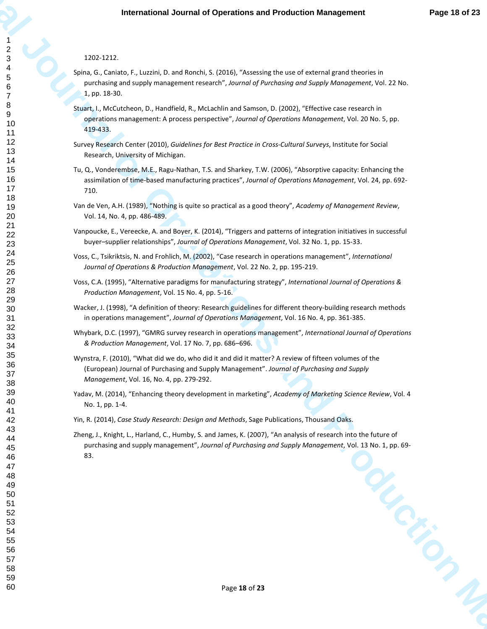1202-1212.

- **International Journal of Operations and Production Management**<br> **International Journal of Operations and Production Schedule Constrained Constrained Constrained Constrained Constrained Constrained Constrained Constrained** Spina, G., Caniato, F., Luzzini, D. and Ronchi, S. (2016), "Assessing the use of external grand theories in purchasing and supply management research", *Journal of Purchasing and Supply Management*, Vol. 22 No. 1, pp. 18-30.
	- Stuart, I., McCutcheon, D., Handfield, R., McLachlin and Samson, D. (2002), "Effective case research in operations management: A process perspective", *Journal of Operations Management*, Vol. 20 No. 5, pp. 419-433.
	- Survey Research Center (2010), *Guidelines for Best Practice in Cross-Cultural Surveys*, Institute for Social Research, University of Michigan.
	- Tu, Q., Vonderembse, M.E., Ragu-Nathan, T.S. and Sharkey, T.W. (2006), "Absorptive capacity: Enhancing the assimilation of time-based manufacturing practices", *Journal of Operations Management*, Vol. 24, pp. 692- 710.
	- Van de Ven, A.H. (1989), "Nothing is quite so practical as a good theory", *Academy of Management Review*, Vol. 14, No. 4, pp. 486-489.
	- Vanpoucke, E., Vereecke, A. and Boyer, K. (2014), "Triggers and patterns of integration initiatives in successful buyer–supplier relationships", *Journal of Operations Management*, Vol. 32 No. 1, pp. 15-33.
	- Voss, C., Tsikriktsis, N. and Frohlich, M. (2002), "Case research in operations management", *International Journal of Operations & Production Management*, Vol. 22 No. 2, pp. 195-219.
	- Voss, C.A. (1995), "Alternative paradigms for manufacturing strategy", *International Journal of Operations & Production Management*, Vol. 15 No. 4, pp. 5-16.
	- Wacker, J. (1998), "A definition of theory: Research guidelines for different theory-building research methods in operations management", *Journal of Operations Management*, Vol. 16 No. 4, pp. 361-385.
	- Whybark, D.C. (1997), "GMRG survey research in operations management", *International Journal of Operations & Production Management*, Vol. 17 No. 7, pp. 686–696.
	- Wynstra, F. (2010), "What did we do, who did it and did it matter? A review of fifteen volumes of the (European) Journal of Purchasing and Supply Management". *Journal of Purchasing and Supply Management*, Vol. 16, No. 4, pp. 279-292.
	- Yadav, M. (2014), "Enhancing theory development in marketing", *Academy of Marketing Science Review*, Vol. 4 No. 1, pp. 1-4.
	- Yin, R. (2014), *Case Study Research: Design and Methods*, Sage Publications, Thousand Oaks.
	- Zheng, J., Knight, L., Harland, C., Humby, S. and James, K. (2007), "An analysis of research into the future of<br>purchasing and supply management", Journal of Purchasing and Supply Management, Vol. 13 No. 1, pp. 69-<br>83. purchasing and supply management", *Journal of Purchasing and Supply Management*, Vol. 13 No. 1, pp. 69- 83.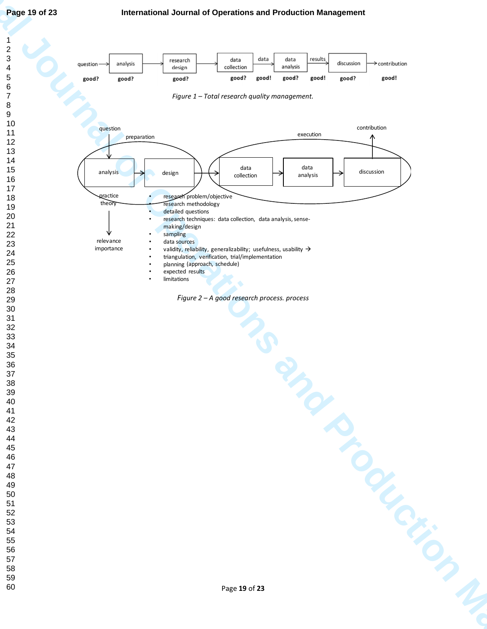# **Page 19 of 23 International Journal of Operations and Production Management**

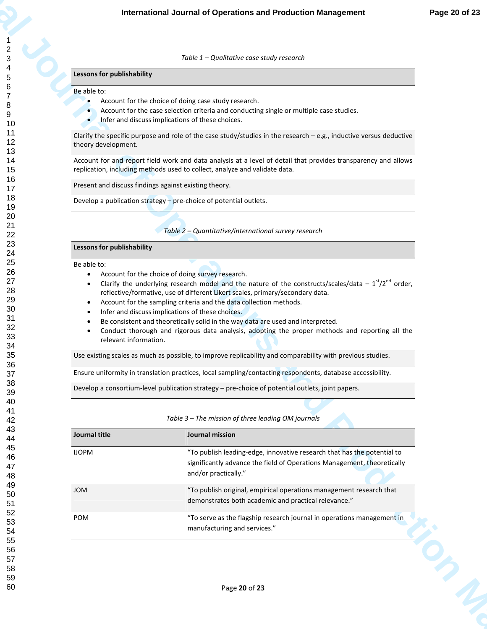#### *Table 1 – Qualitative case study research*

#### **Lessons for publishability**

#### Be able to:

- Account for the choice of doing case study research.
- Account for the case selection criteria and conducting single or multiple case studies.
- Infer and discuss implications of these choices.

#### **Lessons for publishability**

#### Be able to:

- Account for the choice of doing survey research.
- **Clarify the underlying research model and the nature of the constructs/scales/data 1st/2<sup>nd</sup> order,** reflective/formative, use of different Likert scales, primary/secondary data.
- Account for the sampling criteria and the data collection methods.
- Infer and discuss implications of these choices.
- Be consistent and theoretically solid in the way data are used and interpreted.
- Conduct thorough and rigorous data analysis, adopting the proper methods and reporting all the relevant information.

#### *Table 3 – The mission of three leading OM journals*

| Table 1 - Qualitative case study research<br>Lessons for publishability<br>Be able to:<br>Account for the choice of doing case study research.<br>Account for the case selection criteria and conducting single or multiple case studies.<br>$\bullet$<br>Infer and discuss implications of these choices.<br>$\bullet$<br>theory development.<br>replication, including methods used to collect, analyze and validate data.<br>Present and discuss findings against existing theory.<br>Develop a publication strategy - pre-choice of potential outlets.<br>Table 2 - Quantitative/international survey research<br>Lessons for publishability<br>Be able to:<br>Account for the choice of doing survey research.<br>٠<br>$\bullet$<br>reflective/formative, use of different Likert scales, primary/secondary data.<br>Account for the sampling criteria and the data collection methods.<br>$\bullet$<br>Infer and discuss implications of these choices.<br>Be consistent and theoretically solid in the way data are used and interpreted.<br>$\bullet$<br>relevant information.<br>Use existing scales as much as possible, to improve replicability and comparability with previous studies.<br>Ensure uniformity in translation practices, local sampling/contacting respondents, database accessibility.<br>Develop a consortium-level publication strategy - pre-choice of potential outlets, joint papers.<br>Table 3 - The mission of three leading OM journals<br>Journal title<br>Journal mission<br>"To publish leading-edge, innovative research that has the potential to<br><b>IJOPM</b><br>and/or practically."<br>JOM<br>"To publish original, empirical operations management research that<br>demonstrates both academic and practical relevance."<br>POM<br>"To serve as the flagship research journal in operations management in<br>manufacturing and services."<br>Page 20 of 23 |  |
|-------------------------------------------------------------------------------------------------------------------------------------------------------------------------------------------------------------------------------------------------------------------------------------------------------------------------------------------------------------------------------------------------------------------------------------------------------------------------------------------------------------------------------------------------------------------------------------------------------------------------------------------------------------------------------------------------------------------------------------------------------------------------------------------------------------------------------------------------------------------------------------------------------------------------------------------------------------------------------------------------------------------------------------------------------------------------------------------------------------------------------------------------------------------------------------------------------------------------------------------------------------------------------------------------------------------------------------------------------------------------------------------------------------------------------------------------------------------------------------------------------------------------------------------------------------------------------------------------------------------------------------------------------------------------------------------------------------------------------------------------------------------------------------------------------------------------------------------------------------------------------------------------------------|--|
| Clarify the specific purpose and role of the case study/studies in the research - e.g., inductive versus deductive<br>Account for and report field work and data analysis at a level of detail that provides transparency and allows<br>Clarify the underlying research model and the nature of the constructs/scales/data $-1^{st}/2^{nd}$ order,<br>Conduct thorough and rigorous data analysis, adopting the proper methods and reporting all the<br>significantly advance the field of Operations Management, theoretically                                                                                                                                                                                                                                                                                                                                                                                                                                                                                                                                                                                                                                                                                                                                                                                                                                                                                                                                                                                                                                                                                                                                                                                                                                                                                                                                                                             |  |
|                                                                                                                                                                                                                                                                                                                                                                                                                                                                                                                                                                                                                                                                                                                                                                                                                                                                                                                                                                                                                                                                                                                                                                                                                                                                                                                                                                                                                                                                                                                                                                                                                                                                                                                                                                                                                                                                                                             |  |
|                                                                                                                                                                                                                                                                                                                                                                                                                                                                                                                                                                                                                                                                                                                                                                                                                                                                                                                                                                                                                                                                                                                                                                                                                                                                                                                                                                                                                                                                                                                                                                                                                                                                                                                                                                                                                                                                                                             |  |
|                                                                                                                                                                                                                                                                                                                                                                                                                                                                                                                                                                                                                                                                                                                                                                                                                                                                                                                                                                                                                                                                                                                                                                                                                                                                                                                                                                                                                                                                                                                                                                                                                                                                                                                                                                                                                                                                                                             |  |
|                                                                                                                                                                                                                                                                                                                                                                                                                                                                                                                                                                                                                                                                                                                                                                                                                                                                                                                                                                                                                                                                                                                                                                                                                                                                                                                                                                                                                                                                                                                                                                                                                                                                                                                                                                                                                                                                                                             |  |
|                                                                                                                                                                                                                                                                                                                                                                                                                                                                                                                                                                                                                                                                                                                                                                                                                                                                                                                                                                                                                                                                                                                                                                                                                                                                                                                                                                                                                                                                                                                                                                                                                                                                                                                                                                                                                                                                                                             |  |
|                                                                                                                                                                                                                                                                                                                                                                                                                                                                                                                                                                                                                                                                                                                                                                                                                                                                                                                                                                                                                                                                                                                                                                                                                                                                                                                                                                                                                                                                                                                                                                                                                                                                                                                                                                                                                                                                                                             |  |
|                                                                                                                                                                                                                                                                                                                                                                                                                                                                                                                                                                                                                                                                                                                                                                                                                                                                                                                                                                                                                                                                                                                                                                                                                                                                                                                                                                                                                                                                                                                                                                                                                                                                                                                                                                                                                                                                                                             |  |
|                                                                                                                                                                                                                                                                                                                                                                                                                                                                                                                                                                                                                                                                                                                                                                                                                                                                                                                                                                                                                                                                                                                                                                                                                                                                                                                                                                                                                                                                                                                                                                                                                                                                                                                                                                                                                                                                                                             |  |
|                                                                                                                                                                                                                                                                                                                                                                                                                                                                                                                                                                                                                                                                                                                                                                                                                                                                                                                                                                                                                                                                                                                                                                                                                                                                                                                                                                                                                                                                                                                                                                                                                                                                                                                                                                                                                                                                                                             |  |
|                                                                                                                                                                                                                                                                                                                                                                                                                                                                                                                                                                                                                                                                                                                                                                                                                                                                                                                                                                                                                                                                                                                                                                                                                                                                                                                                                                                                                                                                                                                                                                                                                                                                                                                                                                                                                                                                                                             |  |
|                                                                                                                                                                                                                                                                                                                                                                                                                                                                                                                                                                                                                                                                                                                                                                                                                                                                                                                                                                                                                                                                                                                                                                                                                                                                                                                                                                                                                                                                                                                                                                                                                                                                                                                                                                                                                                                                                                             |  |
|                                                                                                                                                                                                                                                                                                                                                                                                                                                                                                                                                                                                                                                                                                                                                                                                                                                                                                                                                                                                                                                                                                                                                                                                                                                                                                                                                                                                                                                                                                                                                                                                                                                                                                                                                                                                                                                                                                             |  |
|                                                                                                                                                                                                                                                                                                                                                                                                                                                                                                                                                                                                                                                                                                                                                                                                                                                                                                                                                                                                                                                                                                                                                                                                                                                                                                                                                                                                                                                                                                                                                                                                                                                                                                                                                                                                                                                                                                             |  |
|                                                                                                                                                                                                                                                                                                                                                                                                                                                                                                                                                                                                                                                                                                                                                                                                                                                                                                                                                                                                                                                                                                                                                                                                                                                                                                                                                                                                                                                                                                                                                                                                                                                                                                                                                                                                                                                                                                             |  |
|                                                                                                                                                                                                                                                                                                                                                                                                                                                                                                                                                                                                                                                                                                                                                                                                                                                                                                                                                                                                                                                                                                                                                                                                                                                                                                                                                                                                                                                                                                                                                                                                                                                                                                                                                                                                                                                                                                             |  |
|                                                                                                                                                                                                                                                                                                                                                                                                                                                                                                                                                                                                                                                                                                                                                                                                                                                                                                                                                                                                                                                                                                                                                                                                                                                                                                                                                                                                                                                                                                                                                                                                                                                                                                                                                                                                                                                                                                             |  |
|                                                                                                                                                                                                                                                                                                                                                                                                                                                                                                                                                                                                                                                                                                                                                                                                                                                                                                                                                                                                                                                                                                                                                                                                                                                                                                                                                                                                                                                                                                                                                                                                                                                                                                                                                                                                                                                                                                             |  |
|                                                                                                                                                                                                                                                                                                                                                                                                                                                                                                                                                                                                                                                                                                                                                                                                                                                                                                                                                                                                                                                                                                                                                                                                                                                                                                                                                                                                                                                                                                                                                                                                                                                                                                                                                                                                                                                                                                             |  |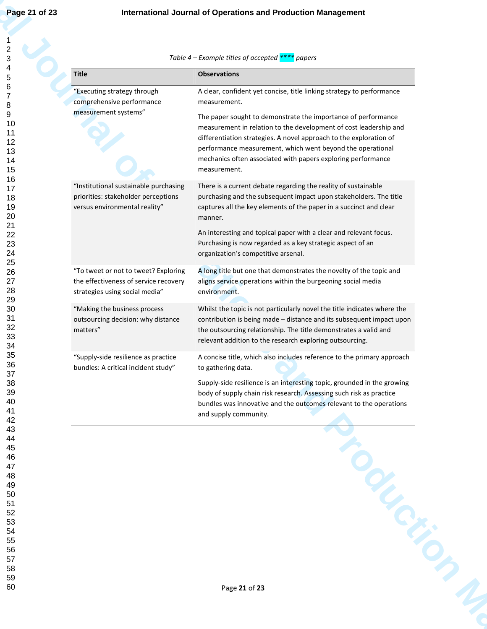| "Executing strategy through<br>A clear, confident yet concise, title linking strategy to performance<br>comprehensive performance<br>measurement.<br>measurement systems"<br>The paper sought to demonstrate the importance of performance<br>measurement in relation to the development of cost leadership and<br>differentiation strategies. A novel approach to the exploration of<br>performance measurement, which went beyond the operational<br>mechanics often associated with papers exploring performance<br>measurement.<br>There is a current debate regarding the reality of sustainable<br>"Institutional sustainable purchasing<br>priorities: stakeholder perceptions<br>purchasing and the subsequent impact upon stakeholders. The title<br>versus environmental reality"<br>captures all the key elements of the paper in a succinct and clear<br>manner.<br>An interesting and topical paper with a clear and relevant focus.<br>Purchasing is now regarded as a key strategic aspect of an<br>organization's competitive arsenal.<br>A long title but one that demonstrates the novelty of the topic and<br>"To tweet or not to tweet? Exploring<br>the effectiveness of service recovery<br>aligns service operations within the burgeoning social media<br>strategies using social media"<br>environment.<br>"Making the business process<br>Whilst the topic is not particularly novel the title indicates where the<br>outsourcing decision: why distance<br>the outsourcing relationship. The title demonstrates a valid and<br>matters"<br>relevant addition to the research exploring outsourcing.<br>"Supply-side resilience as practice<br>A concise title, which also includes reference to the primary approach<br>bundles: A critical incident study"<br>to gathering data.<br>Supply-side resilience is an interesting topic, grounded in the growing<br>body of supply chain risk research. Assessing such risk as practice<br>bundles was innovative and the outcomes relevant to the operations<br>and supply community.<br>Page 21 of 23 |              | Table 4 – Example titles of accepted $***$ papers |
|--------------------------------------------------------------------------------------------------------------------------------------------------------------------------------------------------------------------------------------------------------------------------------------------------------------------------------------------------------------------------------------------------------------------------------------------------------------------------------------------------------------------------------------------------------------------------------------------------------------------------------------------------------------------------------------------------------------------------------------------------------------------------------------------------------------------------------------------------------------------------------------------------------------------------------------------------------------------------------------------------------------------------------------------------------------------------------------------------------------------------------------------------------------------------------------------------------------------------------------------------------------------------------------------------------------------------------------------------------------------------------------------------------------------------------------------------------------------------------------------------------------------------------------------------------------------------------------------------------------------------------------------------------------------------------------------------------------------------------------------------------------------------------------------------------------------------------------------------------------------------------------------------------------------------------------------------------------------------------------------------------------------------------------------------------------------------------|--------------|---------------------------------------------------|
| contribution is being made - distance and its subsequent impact upon                                                                                                                                                                                                                                                                                                                                                                                                                                                                                                                                                                                                                                                                                                                                                                                                                                                                                                                                                                                                                                                                                                                                                                                                                                                                                                                                                                                                                                                                                                                                                                                                                                                                                                                                                                                                                                                                                                                                                                                                           | <b>Title</b> | <b>Observations</b>                               |
|                                                                                                                                                                                                                                                                                                                                                                                                                                                                                                                                                                                                                                                                                                                                                                                                                                                                                                                                                                                                                                                                                                                                                                                                                                                                                                                                                                                                                                                                                                                                                                                                                                                                                                                                                                                                                                                                                                                                                                                                                                                                                |              |                                                   |
|                                                                                                                                                                                                                                                                                                                                                                                                                                                                                                                                                                                                                                                                                                                                                                                                                                                                                                                                                                                                                                                                                                                                                                                                                                                                                                                                                                                                                                                                                                                                                                                                                                                                                                                                                                                                                                                                                                                                                                                                                                                                                |              |                                                   |
|                                                                                                                                                                                                                                                                                                                                                                                                                                                                                                                                                                                                                                                                                                                                                                                                                                                                                                                                                                                                                                                                                                                                                                                                                                                                                                                                                                                                                                                                                                                                                                                                                                                                                                                                                                                                                                                                                                                                                                                                                                                                                |              |                                                   |
|                                                                                                                                                                                                                                                                                                                                                                                                                                                                                                                                                                                                                                                                                                                                                                                                                                                                                                                                                                                                                                                                                                                                                                                                                                                                                                                                                                                                                                                                                                                                                                                                                                                                                                                                                                                                                                                                                                                                                                                                                                                                                |              |                                                   |
|                                                                                                                                                                                                                                                                                                                                                                                                                                                                                                                                                                                                                                                                                                                                                                                                                                                                                                                                                                                                                                                                                                                                                                                                                                                                                                                                                                                                                                                                                                                                                                                                                                                                                                                                                                                                                                                                                                                                                                                                                                                                                |              |                                                   |
|                                                                                                                                                                                                                                                                                                                                                                                                                                                                                                                                                                                                                                                                                                                                                                                                                                                                                                                                                                                                                                                                                                                                                                                                                                                                                                                                                                                                                                                                                                                                                                                                                                                                                                                                                                                                                                                                                                                                                                                                                                                                                |              |                                                   |
|                                                                                                                                                                                                                                                                                                                                                                                                                                                                                                                                                                                                                                                                                                                                                                                                                                                                                                                                                                                                                                                                                                                                                                                                                                                                                                                                                                                                                                                                                                                                                                                                                                                                                                                                                                                                                                                                                                                                                                                                                                                                                |              |                                                   |
|                                                                                                                                                                                                                                                                                                                                                                                                                                                                                                                                                                                                                                                                                                                                                                                                                                                                                                                                                                                                                                                                                                                                                                                                                                                                                                                                                                                                                                                                                                                                                                                                                                                                                                                                                                                                                                                                                                                                                                                                                                                                                |              |                                                   |
|                                                                                                                                                                                                                                                                                                                                                                                                                                                                                                                                                                                                                                                                                                                                                                                                                                                                                                                                                                                                                                                                                                                                                                                                                                                                                                                                                                                                                                                                                                                                                                                                                                                                                                                                                                                                                                                                                                                                                                                                                                                                                |              |                                                   |
|                                                                                                                                                                                                                                                                                                                                                                                                                                                                                                                                                                                                                                                                                                                                                                                                                                                                                                                                                                                                                                                                                                                                                                                                                                                                                                                                                                                                                                                                                                                                                                                                                                                                                                                                                                                                                                                                                                                                                                                                                                                                                |              |                                                   |
| <b>Olympedia</b>                                                                                                                                                                                                                                                                                                                                                                                                                                                                                                                                                                                                                                                                                                                                                                                                                                                                                                                                                                                                                                                                                                                                                                                                                                                                                                                                                                                                                                                                                                                                                                                                                                                                                                                                                                                                                                                                                                                                                                                                                                                               |              |                                                   |
|                                                                                                                                                                                                                                                                                                                                                                                                                                                                                                                                                                                                                                                                                                                                                                                                                                                                                                                                                                                                                                                                                                                                                                                                                                                                                                                                                                                                                                                                                                                                                                                                                                                                                                                                                                                                                                                                                                                                                                                                                                                                                |              |                                                   |
|                                                                                                                                                                                                                                                                                                                                                                                                                                                                                                                                                                                                                                                                                                                                                                                                                                                                                                                                                                                                                                                                                                                                                                                                                                                                                                                                                                                                                                                                                                                                                                                                                                                                                                                                                                                                                                                                                                                                                                                                                                                                                |              |                                                   |
|                                                                                                                                                                                                                                                                                                                                                                                                                                                                                                                                                                                                                                                                                                                                                                                                                                                                                                                                                                                                                                                                                                                                                                                                                                                                                                                                                                                                                                                                                                                                                                                                                                                                                                                                                                                                                                                                                                                                                                                                                                                                                |              |                                                   |
|                                                                                                                                                                                                                                                                                                                                                                                                                                                                                                                                                                                                                                                                                                                                                                                                                                                                                                                                                                                                                                                                                                                                                                                                                                                                                                                                                                                                                                                                                                                                                                                                                                                                                                                                                                                                                                                                                                                                                                                                                                                                                |              |                                                   |
|                                                                                                                                                                                                                                                                                                                                                                                                                                                                                                                                                                                                                                                                                                                                                                                                                                                                                                                                                                                                                                                                                                                                                                                                                                                                                                                                                                                                                                                                                                                                                                                                                                                                                                                                                                                                                                                                                                                                                                                                                                                                                |              |                                                   |
|                                                                                                                                                                                                                                                                                                                                                                                                                                                                                                                                                                                                                                                                                                                                                                                                                                                                                                                                                                                                                                                                                                                                                                                                                                                                                                                                                                                                                                                                                                                                                                                                                                                                                                                                                                                                                                                                                                                                                                                                                                                                                |              |                                                   |
|                                                                                                                                                                                                                                                                                                                                                                                                                                                                                                                                                                                                                                                                                                                                                                                                                                                                                                                                                                                                                                                                                                                                                                                                                                                                                                                                                                                                                                                                                                                                                                                                                                                                                                                                                                                                                                                                                                                                                                                                                                                                                |              |                                                   |
|                                                                                                                                                                                                                                                                                                                                                                                                                                                                                                                                                                                                                                                                                                                                                                                                                                                                                                                                                                                                                                                                                                                                                                                                                                                                                                                                                                                                                                                                                                                                                                                                                                                                                                                                                                                                                                                                                                                                                                                                                                                                                |              |                                                   |
|                                                                                                                                                                                                                                                                                                                                                                                                                                                                                                                                                                                                                                                                                                                                                                                                                                                                                                                                                                                                                                                                                                                                                                                                                                                                                                                                                                                                                                                                                                                                                                                                                                                                                                                                                                                                                                                                                                                                                                                                                                                                                |              |                                                   |
|                                                                                                                                                                                                                                                                                                                                                                                                                                                                                                                                                                                                                                                                                                                                                                                                                                                                                                                                                                                                                                                                                                                                                                                                                                                                                                                                                                                                                                                                                                                                                                                                                                                                                                                                                                                                                                                                                                                                                                                                                                                                                |              |                                                   |
|                                                                                                                                                                                                                                                                                                                                                                                                                                                                                                                                                                                                                                                                                                                                                                                                                                                                                                                                                                                                                                                                                                                                                                                                                                                                                                                                                                                                                                                                                                                                                                                                                                                                                                                                                                                                                                                                                                                                                                                                                                                                                |              |                                                   |
|                                                                                                                                                                                                                                                                                                                                                                                                                                                                                                                                                                                                                                                                                                                                                                                                                                                                                                                                                                                                                                                                                                                                                                                                                                                                                                                                                                                                                                                                                                                                                                                                                                                                                                                                                                                                                                                                                                                                                                                                                                                                                |              |                                                   |
|                                                                                                                                                                                                                                                                                                                                                                                                                                                                                                                                                                                                                                                                                                                                                                                                                                                                                                                                                                                                                                                                                                                                                                                                                                                                                                                                                                                                                                                                                                                                                                                                                                                                                                                                                                                                                                                                                                                                                                                                                                                                                |              |                                                   |
|                                                                                                                                                                                                                                                                                                                                                                                                                                                                                                                                                                                                                                                                                                                                                                                                                                                                                                                                                                                                                                                                                                                                                                                                                                                                                                                                                                                                                                                                                                                                                                                                                                                                                                                                                                                                                                                                                                                                                                                                                                                                                |              |                                                   |
|                                                                                                                                                                                                                                                                                                                                                                                                                                                                                                                                                                                                                                                                                                                                                                                                                                                                                                                                                                                                                                                                                                                                                                                                                                                                                                                                                                                                                                                                                                                                                                                                                                                                                                                                                                                                                                                                                                                                                                                                                                                                                |              |                                                   |
|                                                                                                                                                                                                                                                                                                                                                                                                                                                                                                                                                                                                                                                                                                                                                                                                                                                                                                                                                                                                                                                                                                                                                                                                                                                                                                                                                                                                                                                                                                                                                                                                                                                                                                                                                                                                                                                                                                                                                                                                                                                                                |              |                                                   |
|                                                                                                                                                                                                                                                                                                                                                                                                                                                                                                                                                                                                                                                                                                                                                                                                                                                                                                                                                                                                                                                                                                                                                                                                                                                                                                                                                                                                                                                                                                                                                                                                                                                                                                                                                                                                                                                                                                                                                                                                                                                                                |              |                                                   |
|                                                                                                                                                                                                                                                                                                                                                                                                                                                                                                                                                                                                                                                                                                                                                                                                                                                                                                                                                                                                                                                                                                                                                                                                                                                                                                                                                                                                                                                                                                                                                                                                                                                                                                                                                                                                                                                                                                                                                                                                                                                                                |              |                                                   |
|                                                                                                                                                                                                                                                                                                                                                                                                                                                                                                                                                                                                                                                                                                                                                                                                                                                                                                                                                                                                                                                                                                                                                                                                                                                                                                                                                                                                                                                                                                                                                                                                                                                                                                                                                                                                                                                                                                                                                                                                                                                                                |              |                                                   |
|                                                                                                                                                                                                                                                                                                                                                                                                                                                                                                                                                                                                                                                                                                                                                                                                                                                                                                                                                                                                                                                                                                                                                                                                                                                                                                                                                                                                                                                                                                                                                                                                                                                                                                                                                                                                                                                                                                                                                                                                                                                                                |              |                                                   |
|                                                                                                                                                                                                                                                                                                                                                                                                                                                                                                                                                                                                                                                                                                                                                                                                                                                                                                                                                                                                                                                                                                                                                                                                                                                                                                                                                                                                                                                                                                                                                                                                                                                                                                                                                                                                                                                                                                                                                                                                                                                                                |              |                                                   |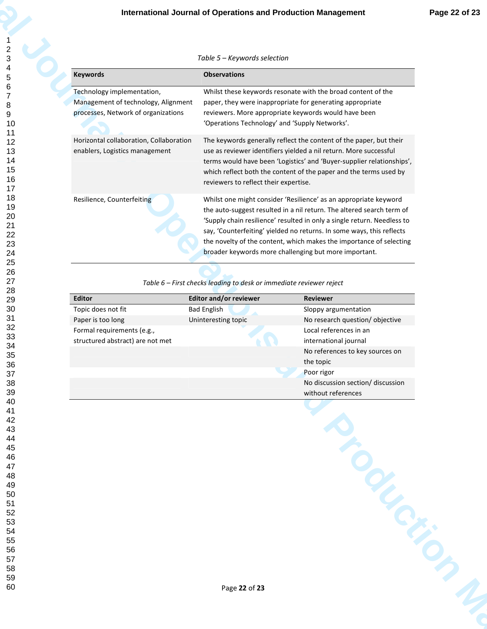#### *Table 5 – Keywords selection*

| <b>Keywords</b><br><b>Observations</b><br>Technology implementation,<br>Whilst these keywords resonate with the broad content of the<br>Management of technology, Alignment<br>paper, they were inappropriate for generating appropriate<br>processes, Network of organizations<br>reviewers. More appropriate keywords would have been<br>'Operations Technology' and 'Supply Networks'.<br>Horizontal collaboration, Collaboration<br>The keywords generally reflect the content of the paper, but their<br>use as reviewer identifiers yielded a nil return. More successful<br>enablers, Logistics management<br>which reflect both the content of the paper and the terms used by<br>reviewers to reflect their expertise.<br>Whilst one might consider 'Resilience' as an appropriate keyword<br>Resilience, Counterfeiting<br>say, 'Counterfeiting' yielded no returns. In some ways, this reflects<br>broader keywords more challenging but more important.<br>Table 6 - First checks leading to desk or immediate reviewer reject<br>Editor<br><b>Editor and/or reviewer</b><br>Reviewer<br>Topic does not fit<br><b>Bad English</b><br>Sloppy argumentation<br>Paper is too long<br>Uninteresting topic<br>No research question/objective<br>Formal requirements (e.g.,<br>Local references in an<br>structured abstract) are not met<br>international journal<br>No references to key sources on<br>the topic<br>Poor rigor<br>No discussion section/ discussion<br>without references<br>Page 22 of 23 |  |
|--------------------------------------------------------------------------------------------------------------------------------------------------------------------------------------------------------------------------------------------------------------------------------------------------------------------------------------------------------------------------------------------------------------------------------------------------------------------------------------------------------------------------------------------------------------------------------------------------------------------------------------------------------------------------------------------------------------------------------------------------------------------------------------------------------------------------------------------------------------------------------------------------------------------------------------------------------------------------------------------------------------------------------------------------------------------------------------------------------------------------------------------------------------------------------------------------------------------------------------------------------------------------------------------------------------------------------------------------------------------------------------------------------------------------------------------------------------------------------------------------------------------|--|
| terms would have been 'Logistics' and 'Buyer-supplier relationships',                                                                                                                                                                                                                                                                                                                                                                                                                                                                                                                                                                                                                                                                                                                                                                                                                                                                                                                                                                                                                                                                                                                                                                                                                                                                                                                                                                                                                                              |  |
| the auto-suggest resulted in a nil return. The altered search term of<br>'Supply chain resilience' resulted in only a single return. Needless to<br>the novelty of the content, which makes the importance of selecting                                                                                                                                                                                                                                                                                                                                                                                                                                                                                                                                                                                                                                                                                                                                                                                                                                                                                                                                                                                                                                                                                                                                                                                                                                                                                            |  |
|                                                                                                                                                                                                                                                                                                                                                                                                                                                                                                                                                                                                                                                                                                                                                                                                                                                                                                                                                                                                                                                                                                                                                                                                                                                                                                                                                                                                                                                                                                                    |  |
|                                                                                                                                                                                                                                                                                                                                                                                                                                                                                                                                                                                                                                                                                                                                                                                                                                                                                                                                                                                                                                                                                                                                                                                                                                                                                                                                                                                                                                                                                                                    |  |
|                                                                                                                                                                                                                                                                                                                                                                                                                                                                                                                                                                                                                                                                                                                                                                                                                                                                                                                                                                                                                                                                                                                                                                                                                                                                                                                                                                                                                                                                                                                    |  |
| <b>LACKS</b>                                                                                                                                                                                                                                                                                                                                                                                                                                                                                                                                                                                                                                                                                                                                                                                                                                                                                                                                                                                                                                                                                                                                                                                                                                                                                                                                                                                                                                                                                                       |  |
|                                                                                                                                                                                                                                                                                                                                                                                                                                                                                                                                                                                                                                                                                                                                                                                                                                                                                                                                                                                                                                                                                                                                                                                                                                                                                                                                                                                                                                                                                                                    |  |
|                                                                                                                                                                                                                                                                                                                                                                                                                                                                                                                                                                                                                                                                                                                                                                                                                                                                                                                                                                                                                                                                                                                                                                                                                                                                                                                                                                                                                                                                                                                    |  |
|                                                                                                                                                                                                                                                                                                                                                                                                                                                                                                                                                                                                                                                                                                                                                                                                                                                                                                                                                                                                                                                                                                                                                                                                                                                                                                                                                                                                                                                                                                                    |  |
|                                                                                                                                                                                                                                                                                                                                                                                                                                                                                                                                                                                                                                                                                                                                                                                                                                                                                                                                                                                                                                                                                                                                                                                                                                                                                                                                                                                                                                                                                                                    |  |
|                                                                                                                                                                                                                                                                                                                                                                                                                                                                                                                                                                                                                                                                                                                                                                                                                                                                                                                                                                                                                                                                                                                                                                                                                                                                                                                                                                                                                                                                                                                    |  |
|                                                                                                                                                                                                                                                                                                                                                                                                                                                                                                                                                                                                                                                                                                                                                                                                                                                                                                                                                                                                                                                                                                                                                                                                                                                                                                                                                                                                                                                                                                                    |  |
|                                                                                                                                                                                                                                                                                                                                                                                                                                                                                                                                                                                                                                                                                                                                                                                                                                                                                                                                                                                                                                                                                                                                                                                                                                                                                                                                                                                                                                                                                                                    |  |
|                                                                                                                                                                                                                                                                                                                                                                                                                                                                                                                                                                                                                                                                                                                                                                                                                                                                                                                                                                                                                                                                                                                                                                                                                                                                                                                                                                                                                                                                                                                    |  |
|                                                                                                                                                                                                                                                                                                                                                                                                                                                                                                                                                                                                                                                                                                                                                                                                                                                                                                                                                                                                                                                                                                                                                                                                                                                                                                                                                                                                                                                                                                                    |  |
|                                                                                                                                                                                                                                                                                                                                                                                                                                                                                                                                                                                                                                                                                                                                                                                                                                                                                                                                                                                                                                                                                                                                                                                                                                                                                                                                                                                                                                                                                                                    |  |
|                                                                                                                                                                                                                                                                                                                                                                                                                                                                                                                                                                                                                                                                                                                                                                                                                                                                                                                                                                                                                                                                                                                                                                                                                                                                                                                                                                                                                                                                                                                    |  |
|                                                                                                                                                                                                                                                                                                                                                                                                                                                                                                                                                                                                                                                                                                                                                                                                                                                                                                                                                                                                                                                                                                                                                                                                                                                                                                                                                                                                                                                                                                                    |  |
|                                                                                                                                                                                                                                                                                                                                                                                                                                                                                                                                                                                                                                                                                                                                                                                                                                                                                                                                                                                                                                                                                                                                                                                                                                                                                                                                                                                                                                                                                                                    |  |
|                                                                                                                                                                                                                                                                                                                                                                                                                                                                                                                                                                                                                                                                                                                                                                                                                                                                                                                                                                                                                                                                                                                                                                                                                                                                                                                                                                                                                                                                                                                    |  |
|                                                                                                                                                                                                                                                                                                                                                                                                                                                                                                                                                                                                                                                                                                                                                                                                                                                                                                                                                                                                                                                                                                                                                                                                                                                                                                                                                                                                                                                                                                                    |  |
|                                                                                                                                                                                                                                                                                                                                                                                                                                                                                                                                                                                                                                                                                                                                                                                                                                                                                                                                                                                                                                                                                                                                                                                                                                                                                                                                                                                                                                                                                                                    |  |
|                                                                                                                                                                                                                                                                                                                                                                                                                                                                                                                                                                                                                                                                                                                                                                                                                                                                                                                                                                                                                                                                                                                                                                                                                                                                                                                                                                                                                                                                                                                    |  |

#### *Table 6 – First checks leading to desk or immediate reviewer reject*

| <b>Editor</b>                    | <b>Editor and/or reviewer</b> | <b>Reviewer</b>                   |
|----------------------------------|-------------------------------|-----------------------------------|
| Topic does not fit               | <b>Bad English</b>            | Sloppy argumentation              |
| Paper is too long                | Uninteresting topic           | No research question/objective    |
| Formal requirements (e.g.,       |                               | Local references in an            |
| structured abstract) are not met |                               | international journal             |
|                                  |                               | No references to key sources on   |
|                                  |                               | the topic                         |
|                                  |                               | Poor rigor                        |
|                                  |                               | No discussion section/ discussion |
|                                  |                               | without references                |

| 1  |               |
|----|---------------|
|    |               |
|    |               |
|    |               |
|    |               |
|    |               |
|    |               |
|    |               |
|    |               |
|    |               |
|    |               |
|    |               |
|    |               |
|    |               |
|    |               |
|    |               |
|    |               |
|    |               |
|    |               |
|    |               |
|    |               |
|    |               |
|    |               |
|    |               |
|    |               |
|    |               |
|    |               |
|    |               |
|    |               |
|    |               |
|    |               |
|    |               |
|    |               |
|    |               |
|    |               |
|    |               |
|    |               |
|    |               |
|    |               |
|    |               |
| 40 |               |
| 41 |               |
| 42 |               |
| 4: | Š             |
| 44 |               |
| 45 |               |
| 46 |               |
| 47 |               |
| 48 |               |
| 49 |               |
| 50 |               |
| ŗ  | $\mathbf{51}$ |
| 52 |               |
| 5: | ξ             |
| 54 |               |
| 55 |               |
| 56 |               |
| 57 |               |
| 58 |               |
| 59 |               |
|    |               |